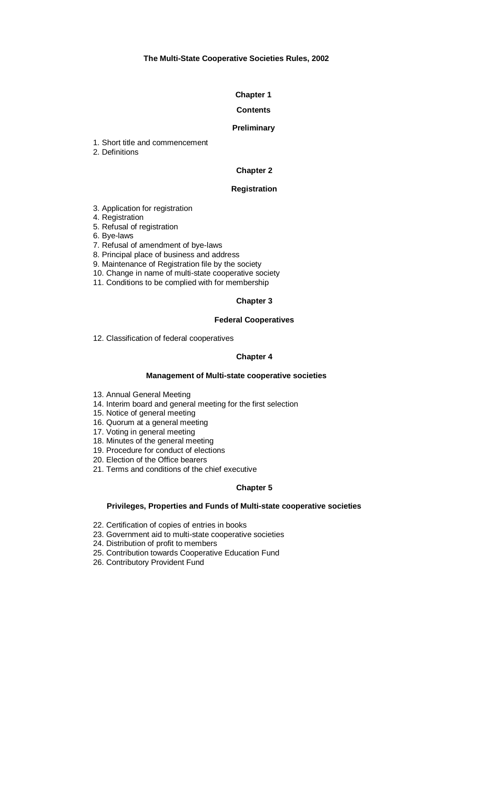#### **Chapter 1**

#### **Contents**

#### **Preliminary**

- 1. Short title and commencement
- 2. Definitions

#### **Chapter 2**

#### **Registration**

- 3. Application for registration
- 4. Registration
- 5. Refusal of registration
- 6. Bye-laws
- 7. Refusal of amendment of bye-laws
- 8. Principal place of business and address
- 9. Maintenance of Registration file by the society
- 10. Change in name of multi-state cooperative society
- 11. Conditions to be complied with for membership

#### **Chapter 3**

#### **Federal Cooperatives**

12. Classification of federal cooperatives

#### **Chapter 4**

#### **Management of Multi-state cooperative societies**

- 13. Annual General Meeting
- 14. Interim board and general meeting for the first selection
- 15. Notice of general meeting
- 16. Quorum at a general meeting
- 17. Voting in general meeting
- 18. Minutes of the general meeting
- 19. Procedure for conduct of elections
- 20. Election of the Office bearers
- 21. Terms and conditions of the chief executive

#### **Chapter 5**

#### **Privileges, Properties and Funds of Multi-state cooperative societies**

- 22. Certification of copies of entries in books
- 23. Government aid to multi-state cooperative societies
- 24. Distribution of profit to members
- 25. Contribution towards Cooperative Education Fund
- 26. Contributory Provident Fund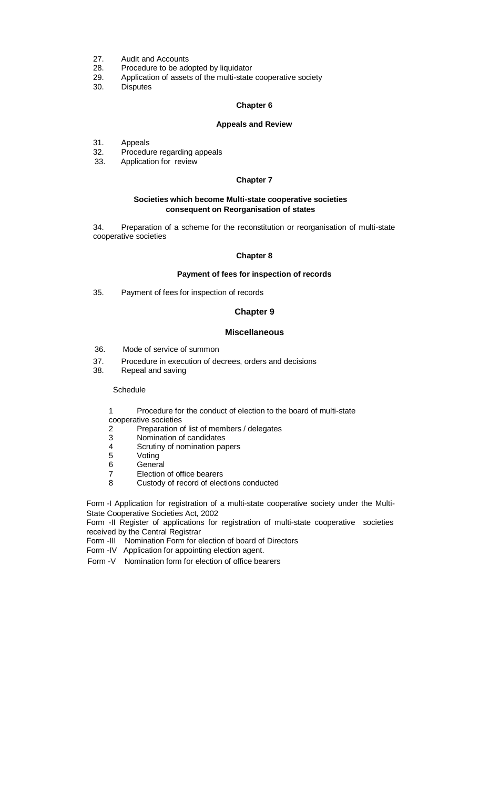- 27. Audit and Accounts
- 28. Procedure to be adopted by liquidator
- 29. Application of assets of the multi-state cooperative society
- 30. Disputes

#### **Chapter 6**

#### **Appeals and Review**

- 31. Appeals
- 32. Procedure regarding appeals<br>33. Application for review
- Application for review

#### **Chapter 7**

#### **Societies which become Multi-state cooperative societies consequent on Reorganisation of states**

34. Preparation of a scheme for the reconstitution or reorganisation of multi-state cooperative societies

#### **Chapter 8**

#### **Payment of fees for inspection of records**

35. Payment of fees for inspection of records

#### **Chapter 9**

#### **Miscellaneous**

- 36. Mode of service of summon
- 37. Procedure in execution of decrees, orders and decisions<br>38. Repeal and saving
- Repeal and saving

#### **Schedule**

- 1 Procedure for the conduct of election to the board of multi-state
- cooperative societies
- 2 Preparation of list of members / delegates<br>3 Nomination of candidates
- Nomination of candidates
- 4 Scrutiny of nomination papers<br>5 Voting
- Voting
- 
- 6 General<br>7 Election 7 Election of office bearers<br>8 Custody of record of elec
- Custody of record of elections conducted

Form -I Application for registration of a multi-state cooperative society under the Multi-State Cooperative Societies Act, 2002

Form -II Register of applications for registration of multi-state cooperative societies received by the Central Registrar

Form -III Nomination Form for election of board of Directors

Form -IV Application for appointing election agent.

Form -V Nomination form for election of office bearers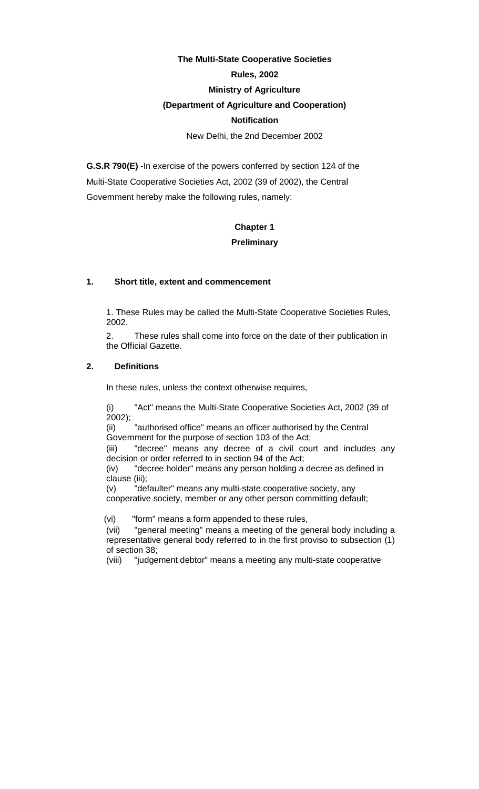# **The Multi-State Cooperative Societies**

# **Rules, 2002**

# **Ministry of Agriculture**

# **(Department of Agriculture and Cooperation)**

# **Notification**

New Delhi, the 2nd December 2002

**G.S.R 790(E)** -In exercise of the powers conferred by section 124 of the Multi-State Cooperative Societies Act, 2002 (39 of 2002), the Central Government hereby make the following rules, namely:

# **Chapter 1 Preliminary**

# **1. Short title, extent and commencement**

1. These Rules may be called the Multi-State Cooperative Societies Rules, 2002.

2. These rules shall come into force on the date of their publication in the Official Gazette.

# **2. Definitions**

In these rules, unless the context otherwise requires,

 (i) "Act" means the Multi-State Cooperative Societies Act, 2002 (39 of  $2002$ );

(ii) "authorised office" means an officer authorised by the Central Government for the purpose of section 103 of the Act;

(iii) "decree" means any decree of a civil court and includes any decision or order referred to in section 94 of the Act;

 (iv) "decree holder" means any person holding a decree as defined in clause (iii);

(v) "defaulter" means any multi-state cooperative society, any cooperative society, member or any other person committing default;

(vi) "form" means a form appended to these rules,

(vii) "general meeting" means a meeting of the general body including a representative general body referred to in the first proviso to subsection (1) of section 38;

(viii) "judgement debtor" means a meeting any multi-state cooperative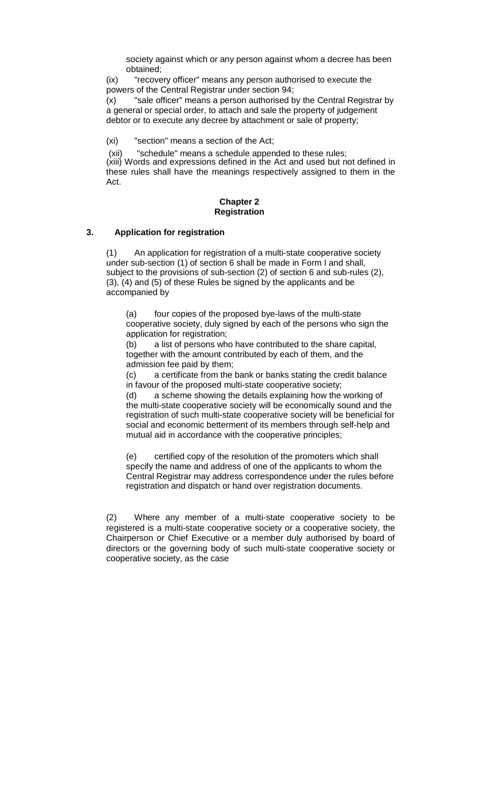society against which or any person against whom a decree has been obtained;

 (ix) "recovery officer" means any person authorised to execute the powers of the Central Registrar under section 94;

(x) "sale officer" means a person authorised by the Central Registrar by a general or special order, to attach and sale the property of judgement debtor or to execute any decree by attachment or sale of property;

(xi) "section" means a section of the Act;

(xii) "schedule" means a schedule appended to these rules; (xiii) Words and expressions defined in the Act and used but not defined in these rules shall have the meanings respectively assigned to them in the Act.

#### **Chapter 2 Registration**

#### **3. Application for registration**

(1) An application for registration of a multi-state cooperative society under sub-section (1) of section 6 shall be made in Form I and shall, subject to the provisions of sub-section (2) of section 6 and sub-rules (2), (3), (4) and (5) of these Rules be signed by the applicants and be accompanied by

(a) four copies of the proposed bye-laws of the multi-state cooperative society, duly signed by each of the persons who sign the application for registration;

(b) a list of persons who have contributed to the share capital, together with the amount contributed by each of them, and the admission fee paid by them;

(c) a certificate from the bank or banks stating the credit balance in favour of the proposed multi-state cooperative society;

(d) a scheme showing the details explaining how the working of the multi-state cooperative society will be economically sound and the registration of such multi-state cooperative society will be beneficial for social and economic betterment of its members through self-help and mutual aid in accordance with the cooperative principles;

(e) certified copy of the resolution of the promoters which shall specify the name and address of one of the applicants to whom the Central Registrar may address correspondence under the rules before registration and dispatch or hand over registration documents.

(2) Where any member of a multi-state cooperative society to be registered is a multi-state cooperative society or a cooperative society, the Chairperson or Chief Executive or a member duly authorised by board of directors or the governing body of such multi-state cooperative society or cooperative society, as the case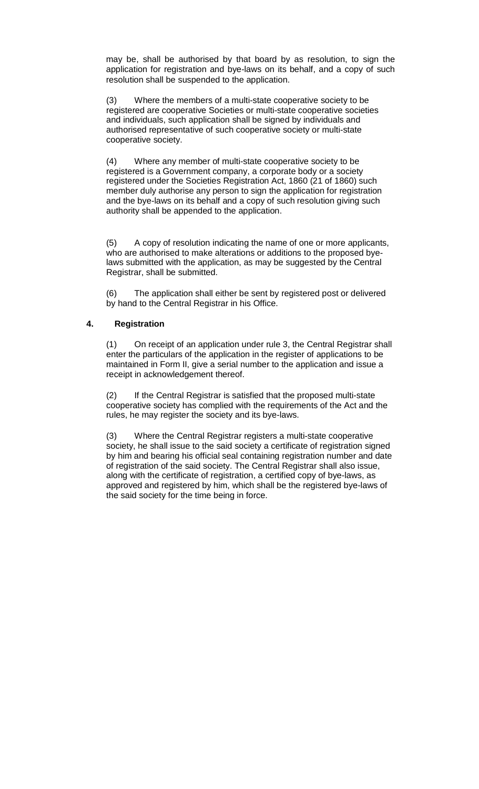may be, shall be authorised by that board by as resolution, to sign the application for registration and bye-laws on its behalf, and a copy of such resolution shall be suspended to the application.

(3) Where the members of a multi-state cooperative society to be registered are cooperative Societies or multi-state cooperative societies and individuals, such application shall be signed by individuals and authorised representative of such cooperative society or multi-state cooperative society.

(4) Where any member of multi-state cooperative society to be registered is a Government company, a corporate body or a society registered under the Societies Registration Act, 1860 (21 of 1860) such member duly authorise any person to sign the application for registration and the bye-laws on its behalf and a copy of such resolution giving such authority shall be appended to the application.

(5) A copy of resolution indicating the name of one or more applicants, who are authorised to make alterations or additions to the proposed byelaws submitted with the application, as may be suggested by the Central Registrar, shall be submitted.

(6) The application shall either be sent by registered post or delivered by hand to the Central Registrar in his Office.

# **4. Registration**

 (1) On receipt of an application under rule 3, the Central Registrar shall enter the particulars of the application in the register of applications to be maintained in Form II, give a serial number to the application and issue a receipt in acknowledgement thereof.

(2) If the Central Registrar is satisfied that the proposed multi-state cooperative society has complied with the requirements of the Act and the rules, he may register the society and its bye-laws.

(3) Where the Central Registrar registers a multi-state cooperative society, he shall issue to the said society a certificate of registration signed by him and bearing his official seal containing registration number and date of registration of the said society. The Central Registrar shall also issue, along with the certificate of registration, a certified copy of bye-laws, as approved and registered by him, which shall be the registered bye-laws of the said society for the time being in force.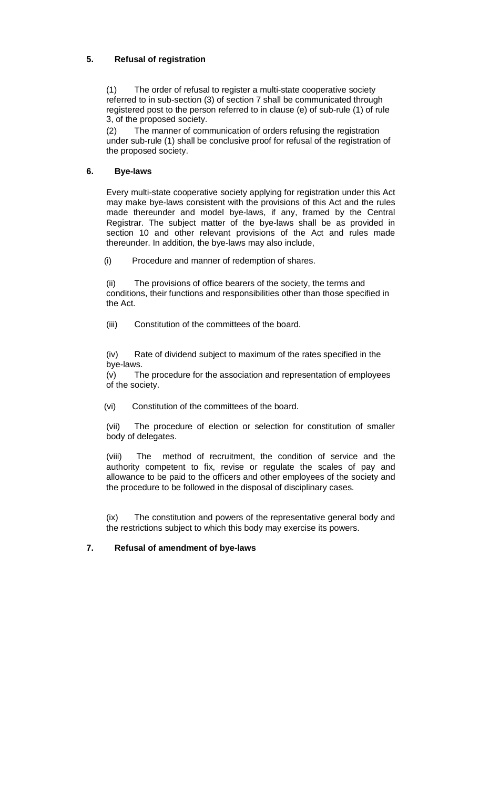# **5. Refusal of registration**

(1) The order of refusal to register a multi-state cooperative society referred to in sub-section (3) of section 7 shall be communicated through registered post to the person referred to in clause (e) of sub-rule (1) of rule 3, of the proposed society.

(2) The manner of communication of orders refusing the registration under sub-rule (1) shall be conclusive proof for refusal of the registration of the proposed society.

# **6. Bye-laws**

Every multi-state cooperative society applying for registration under this Act may make bye-laws consistent with the provisions of this Act and the rules made thereunder and model bye-laws, if any, framed by the Central Registrar. The subject matter of the bye-laws shall be as provided in section 10 and other relevant provisions of the Act and rules made thereunder. In addition, the bye-laws may also include,

(i) Procedure and manner of redemption of shares.

(ii) The provisions of office bearers of the society, the terms and conditions, their functions and responsibilities other than those specified in the Act.

(iii) Constitution of the committees of the board.

(iv) Rate of dividend subject to maximum of the rates specified in the bye-laws.

(v) The procedure for the association and representation of employees of the society.

(vi) Constitution of the committees of the board.

(vii) The procedure of election or selection for constitution of smaller body of delegates.

(viii) The method of recruitment, the condition of service and the authority competent to fix, revise or regulate the scales of pay and allowance to be paid to the officers and other employees of the society and the procedure to be followed in the disposal of disciplinary cases.

(ix) The constitution and powers of the representative general body and the restrictions subject to which this body may exercise its powers.

# **7. Refusal of amendment of bye-laws**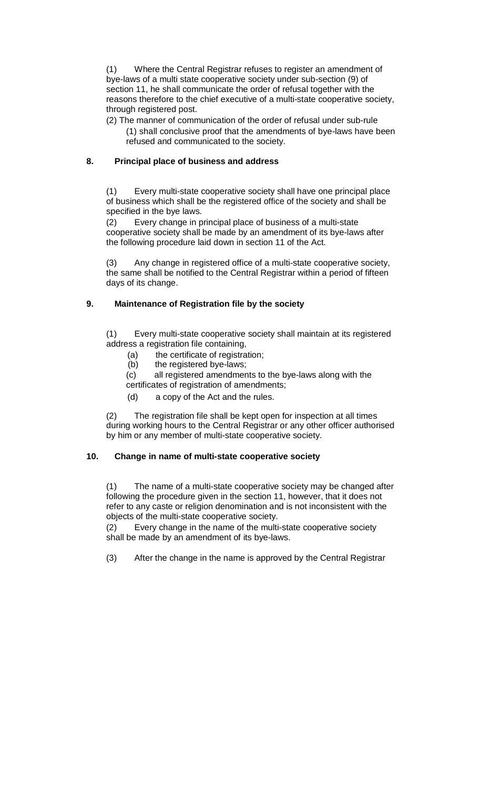(1) Where the Central Registrar refuses to register an amendment of bye-laws of a multi state cooperative society under sub-section (9) of section 11, he shall communicate the order of refusal together with the reasons therefore to the chief executive of a multi-state cooperative society, through registered post.

(2) The manner of communication of the order of refusal under sub-rule (1) shall conclusive proof that the amendments of bye-laws have been refused and communicated to the society.

# **8. Principal place of business and address**

(1) Every multi-state cooperative society shall have one principal place of business which shall be the registered office of the society and shall be specified in the bye laws.

(2) Every change in principal place of business of a multi-state cooperative society shall be made by an amendment of its bye-laws after the following procedure laid down in section 11 of the Act.

(3) Any change in registered office of a multi-state cooperative society, the same shall be notified to the Central Registrar within a period of fifteen days of its change.

# **9. Maintenance of Registration file by the society**

(1) Every multi-state cooperative society shall maintain at its registered address a registration file containing,

- (a) the certificate of registration;
- (b) the registered bye-laws;

(c) all registered amendments to the bye-laws along with the certificates of registration of amendments;

(d) a copy of the Act and the rules.

(2) The registration file shall be kept open for inspection at all times during working hours to the Central Registrar or any other officer authorised by him or any member of multi-state cooperative society.

# **10. Change in name of multi-state cooperative society**

(1) The name of a multi-state cooperative society may be changed after following the procedure given in the section 11, however, that it does not refer to any caste or religion denomination and is not inconsistent with the objects of the multi-state cooperative society.

(2) Every change in the name of the multi-state cooperative society shall be made by an amendment of its bye-laws.

(3) After the change in the name is approved by the Central Registrar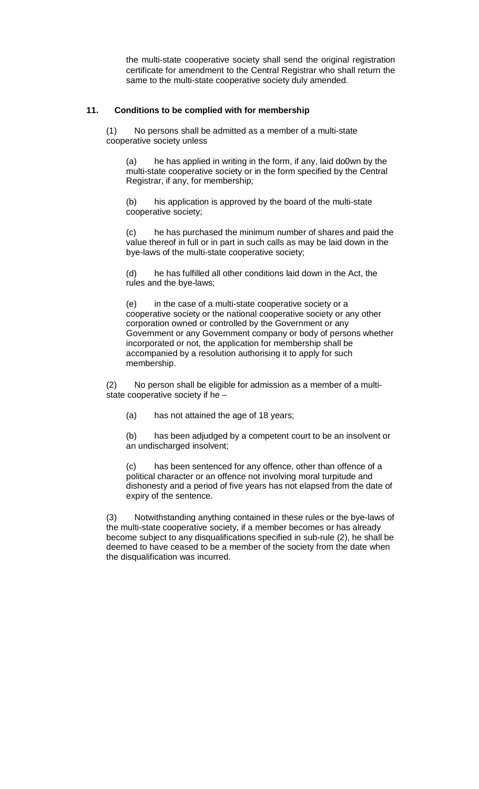the multi-state cooperative society shall send the original registration certificate for amendment to the Central Registrar who shall return the same to the multi-state cooperative society duly amended.

# **11. Conditions to be complied with for membership**

(1) No persons shall be admitted as a member of a multi-state cooperative society unless

(a) he has applied in writing in the form, if any, laid do0wn by the multi-state cooperative society or in the form specified by the Central Registrar, if any, for membership;

(b) his application is approved by the board of the multi-state cooperative society;

(c) he has purchased the minimum number of shares and paid the value thereof in full or in part in such calls as may be laid down in the bye-laws of the multi-state cooperative society;

(d) he has fulfilled all other conditions laid down in the Act, the rules and the bye-laws;

(e) in the case of a multi-state cooperative society or a cooperative society or the national cooperative society or any other corporation owned or controlled by the Government or any Government or any Government company or body of persons whether incorporated or not, the application for membership shall be accompanied by a resolution authorising it to apply for such membership.

(2) No person shall be eligible for admission as a member of a multistate cooperative society if he –

(a) has not attained the age of 18 years;

(b) has been adjudged by a competent court to be an insolvent or an undischarged insolvent;

(c) has been sentenced for any offence, other than offence of a political character or an offence not involving moral turpitude and dishonesty and a period of five years has not elapsed from the date of expiry of the sentence.

(3) Notwithstanding anything contained in these rules or the bye-laws of the multi-state cooperative society, if a member becomes or has already become subject to any disqualifications specified in sub-rule (2), he shall be deemed to have ceased to be a member of the society from the date when the disqualification was incurred.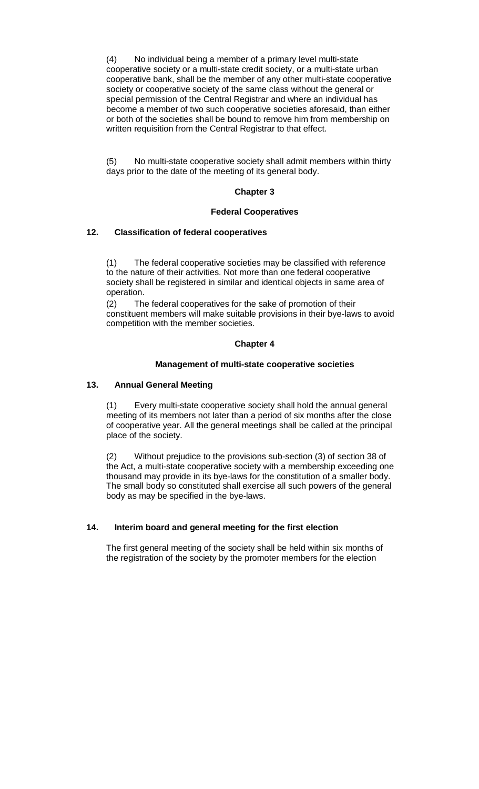(4) No individual being a member of a primary level multi-state cooperative society or a multi-state credit society, or a multi-state urban cooperative bank, shall be the member of any other multi-state cooperative society or cooperative society of the same class without the general or special permission of the Central Registrar and where an individual has become a member of two such cooperative societies aforesaid, than either or both of the societies shall be bound to remove him from membership on written requisition from the Central Registrar to that effect.

(5) No multi-state cooperative society shall admit members within thirty days prior to the date of the meeting of its general body.

# **Chapter 3**

#### **Federal Cooperatives**

# **12. Classification of federal cooperatives**

(1) The federal cooperative societies may be classified with reference to the nature of their activities. Not more than one federal cooperative society shall be registered in similar and identical objects in same area of operation.

(2) The federal cooperatives for the sake of promotion of their constituent members will make suitable provisions in their bye-laws to avoid competition with the member societies.

# **Chapter 4**

# **Management of multi-state cooperative societies**

# **13. Annual General Meeting**

 (1) Every multi-state cooperative society shall hold the annual general meeting of its members not later than a period of six months after the close of cooperative year. All the general meetings shall be called at the principal place of the society.

(2) Without prejudice to the provisions sub-section (3) of section 38 of the Act, a multi-state cooperative society with a membership exceeding one thousand may provide in its bye-laws for the constitution of a smaller body. The small body so constituted shall exercise all such powers of the general body as may be specified in the bye-laws.

# **14. Interim board and general meeting for the first election**

The first general meeting of the society shall be held within six months of the registration of the society by the promoter members for the election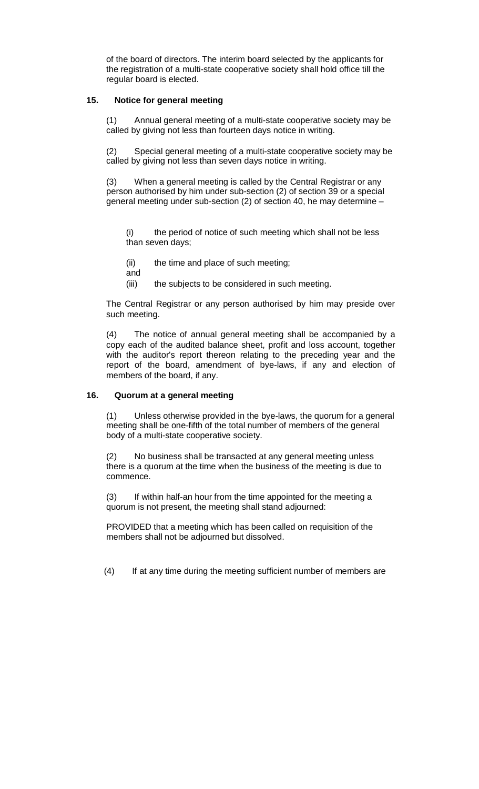of the board of directors. The interim board selected by the applicants for the registration of a multi-state cooperative society shall hold office till the regular board is elected.

# **15. Notice for general meeting**

 (1) Annual general meeting of a multi-state cooperative society may be called by giving not less than fourteen days notice in writing.

(2) Special general meeting of a multi-state cooperative society may be called by giving not less than seven days notice in writing.

(3) When a general meeting is called by the Central Registrar or any person authorised by him under sub-section (2) of section 39 or a special general meeting under sub-section (2) of section 40, he may determine –

(i) the period of notice of such meeting which shall not be less than seven days;

- (ii) the time and place of such meeting;
- and
- (iii) the subjects to be considered in such meeting.

The Central Registrar or any person authorised by him may preside over such meeting.

(4) The notice of annual general meeting shall be accompanied by a copy each of the audited balance sheet, profit and loss account, together with the auditor's report thereon relating to the preceding year and the report of the board, amendment of bye-laws, if any and election of members of the board, if any.

#### **16. Quorum at a general meeting**

(1) Unless otherwise provided in the bye-laws, the quorum for a general meeting shall be one-fifth of the total number of members of the general body of a multi-state cooperative society.

(2) No business shall be transacted at any general meeting unless there is a quorum at the time when the business of the meeting is due to commence.

(3) If within half-an hour from the time appointed for the meeting a quorum is not present, the meeting shall stand adjourned:

PROVIDED that a meeting which has been called on requisition of the members shall not be adjourned but dissolved.

(4) If at any time during the meeting sufficient number of members are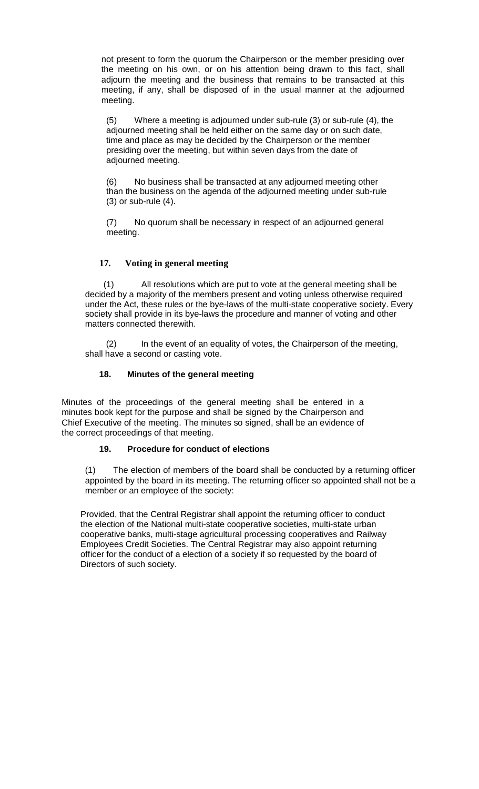not present to form the quorum the Chairperson or the member presiding over the meeting on his own, or on his attention being drawn to this fact, shall adjourn the meeting and the business that remains to be transacted at this meeting, if any, shall be disposed of in the usual manner at the adjourned meeting.

(5) Where a meeting is adjourned under sub-rule (3) or sub-rule (4), the adjourned meeting shall be held either on the same day or on such date, time and place as may be decided by the Chairperson or the member presiding over the meeting, but within seven days from the date of adjourned meeting.

(6) No business shall be transacted at any adjourned meeting other than the business on the agenda of the adjourned meeting under sub-rule (3) or sub-rule (4).

(7) No quorum shall be necessary in respect of an adjourned general meeting.

# **17. Voting in general meeting**

(1) All resolutions which are put to vote at the general meeting shall be decided by a majority of the members present and voting unless otherwise required under the Act, these rules or the bye-laws of the multi-state cooperative society. Every society shall provide in its bye-laws the procedure and manner of voting and other matters connected therewith.

(2) In the event of an equality of votes, the Chairperson of the meeting, shall have a second or casting vote.

# **18. Minutes of the general meeting**

Minutes of the proceedings of the general meeting shall be entered in a minutes book kept for the purpose and shall be signed by the Chairperson and Chief Executive of the meeting. The minutes so signed, shall be an evidence of the correct proceedings of that meeting.

# **19. Procedure for conduct of elections**

(1) The election of members of the board shall be conducted by a returning officer appointed by the board in its meeting. The returning officer so appointed shall not be a member or an employee of the society:

Provided, that the Central Registrar shall appoint the returning officer to conduct the election of the National multi-state cooperative societies, multi-state urban cooperative banks, multi-stage agricultural processing cooperatives and Railway Employees Credit Societies. The Central Registrar may also appoint returning officer for the conduct of a election of a society if so requested by the board of Directors of such society.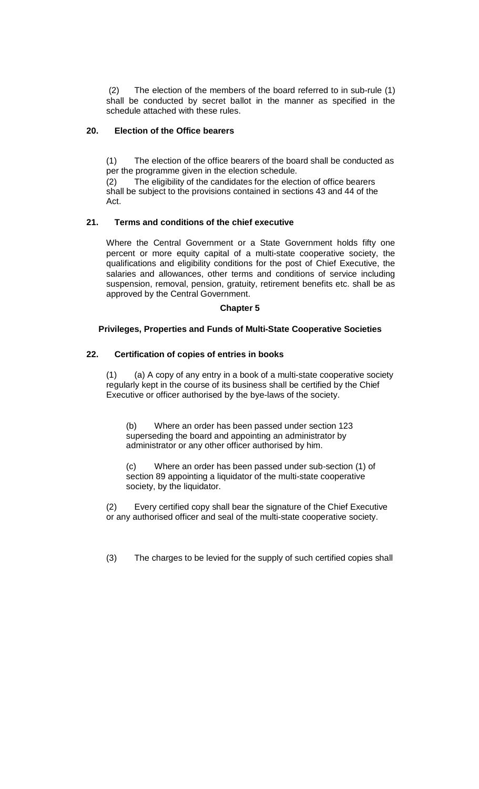(2) The election of the members of the board referred to in sub-rule (1) shall be conducted by secret ballot in the manner as specified in the schedule attached with these rules.

# **20. Election of the Office bearers**

(1) The election of the office bearers of the board shall be conducted as per the programme given in the election schedule.

(2) The eligibility of the candidates for the election of office bearers shall be subject to the provisions contained in sections 43 and 44 of the Act.

# **21. Terms and conditions of the chief executive**

Where the Central Government or a State Government holds fifty one percent or more equity capital of a multi-state cooperative society, the qualifications and eligibility conditions for the post of Chief Executive, the salaries and allowances, other terms and conditions of service including suspension, removal, pension, gratuity, retirement benefits etc. shall be as approved by the Central Government.

# **Chapter 5**

# **Privileges, Properties and Funds of Multi-State Cooperative Societies**

# **22. Certification of copies of entries in books**

 (1) (a) A copy of any entry in a book of a multi-state cooperative society regularly kept in the course of its business shall be certified by the Chief Executive or officer authorised by the bye-laws of the society.

(b) Where an order has been passed under section 123 superseding the board and appointing an administrator by administrator or any other officer authorised by him.

(c) Where an order has been passed under sub-section (1) of section 89 appointing a liquidator of the multi-state cooperative society, by the liquidator.

(2) Every certified copy shall bear the signature of the Chief Executive or any authorised officer and seal of the multi-state cooperative society.

(3) The charges to be levied for the supply of such certified copies shall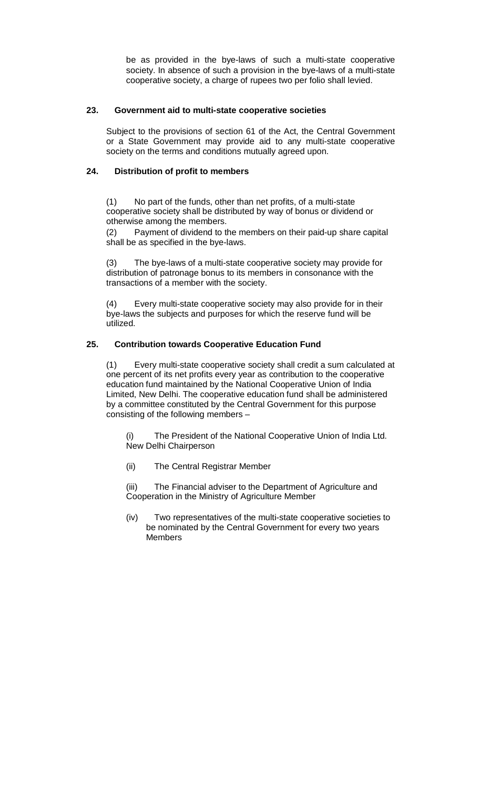be as provided in the bye-laws of such a multi-state cooperative society. In absence of such a provision in the bye-laws of a multi-state cooperative society, a charge of rupees two per folio shall levied.

# **23. Government aid to multi-state cooperative societies**

Subject to the provisions of section 61 of the Act, the Central Government or a State Government may provide aid to any multi-state cooperative society on the terms and conditions mutually agreed upon.

# **24. Distribution of profit to members**

(1) No part of the funds, other than net profits, of a multi-state cooperative society shall be distributed by way of bonus or dividend or otherwise among the members.

(2) Payment of dividend to the members on their paid-up share capital shall be as specified in the bye-laws.

(3) The bye-laws of a multi-state cooperative society may provide for distribution of patronage bonus to its members in consonance with the transactions of a member with the society.

(4) Every multi-state cooperative society may also provide for in their bye-laws the subjects and purposes for which the reserve fund will be utilized.

# **25. Contribution towards Cooperative Education Fund**

(1) Every multi-state cooperative society shall credit a sum calculated at one percent of its net profits every year as contribution to the cooperative education fund maintained by the National Cooperative Union of India Limited, New Delhi. The cooperative education fund shall be administered by a committee constituted by the Central Government for this purpose consisting of the following members –

The President of the National Cooperative Union of India Ltd. New Delhi Chairperson

(ii) The Central Registrar Member

(iii) The Financial adviser to the Department of Agriculture and Cooperation in the Ministry of Agriculture Member

(iv) Two representatives of the multi-state cooperative societies to be nominated by the Central Government for every two years Members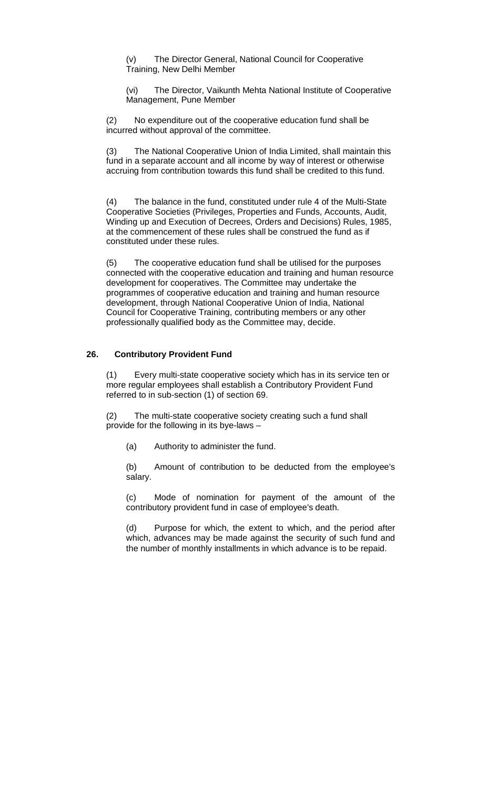(v) The Director General, National Council for Cooperative Training, New Delhi Member

(vi) The Director, Vaikunth Mehta National Institute of Cooperative Management, Pune Member

(2) No expenditure out of the cooperative education fund shall be incurred without approval of the committee.

(3) The National Cooperative Union of India Limited, shall maintain this fund in a separate account and all income by way of interest or otherwise accruing from contribution towards this fund shall be credited to this fund.

(4) The balance in the fund, constituted under rule 4 of the Multi-State Cooperative Societies (Privileges, Properties and Funds, Accounts, Audit, Winding up and Execution of Decrees, Orders and Decisions) Rules, 1985, at the commencement of these rules shall be construed the fund as if constituted under these rules.

(5) The cooperative education fund shall be utilised for the purposes connected with the cooperative education and training and human resource development for cooperatives. The Committee may undertake the programmes of cooperative education and training and human resource development, through National Cooperative Union of India, National Council for Cooperative Training, contributing members or any other professionally qualified body as the Committee may, decide.

# **26. Contributory Provident Fund**

(1) Every multi-state cooperative society which has in its service ten or more regular employees shall establish a Contributory Provident Fund referred to in sub-section (1) of section 69.

(2) The multi-state cooperative society creating such a fund shall provide for the following in its bye-laws –

(a) Authority to administer the fund.

(b) Amount of contribution to be deducted from the employee's salary.

(c) Mode of nomination for payment of the amount of the contributory provident fund in case of employee's death.

(d) Purpose for which, the extent to which, and the period after which, advances may be made against the security of such fund and the number of monthly installments in which advance is to be repaid.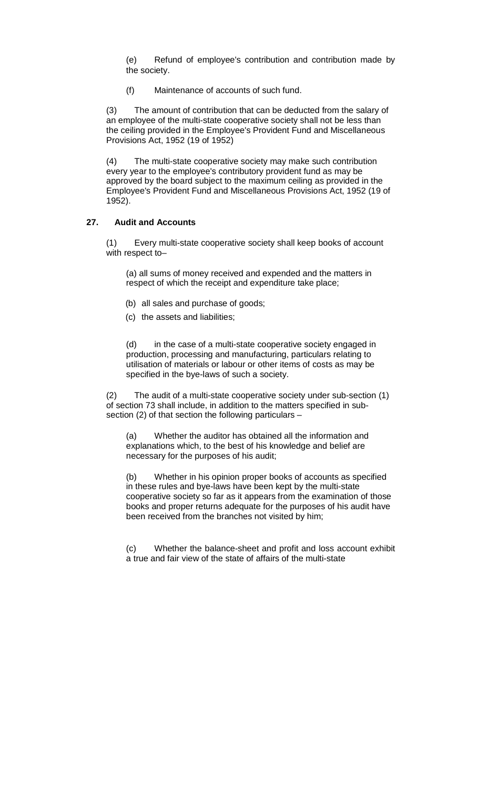(e) Refund of employee's contribution and contribution made by the society.

(f) Maintenance of accounts of such fund.

(3) The amount of contribution that can be deducted from the salary of an employee of the multi-state cooperative society shall not be less than the ceiling provided in the Employee's Provident Fund and Miscellaneous Provisions Act, 1952 (19 of 1952)

(4) The multi-state cooperative society may make such contribution every year to the employee's contributory provident fund as may be approved by the board subject to the maximum ceiling as provided in the Employee's Provident Fund and Miscellaneous Provisions Act, 1952 (19 of 1952).

#### **27. Audit and Accounts**

(1) Every multi-state cooperative society shall keep books of account with respect to–

(a) all sums of money received and expended and the matters in respect of which the receipt and expenditure take place;

- (b) all sales and purchase of goods;
- (c) the assets and liabilities;

(d) in the case of a multi-state cooperative society engaged in production, processing and manufacturing, particulars relating to utilisation of materials or labour or other items of costs as may be specified in the bye-laws of such a society.

(2) The audit of a multi-state cooperative society under sub-section (1) of section 73 shall include, in addition to the matters specified in subsection (2) of that section the following particulars –

Whether the auditor has obtained all the information and explanations which, to the best of his knowledge and belief are necessary for the purposes of his audit;

(b) Whether in his opinion proper books of accounts as specified in these rules and bye-laws have been kept by the multi-state cooperative society so far as it appears from the examination of those books and proper returns adequate for the purposes of his audit have been received from the branches not visited by him;

(c) Whether the balance-sheet and profit and loss account exhibit a true and fair view of the state of affairs of the multi-state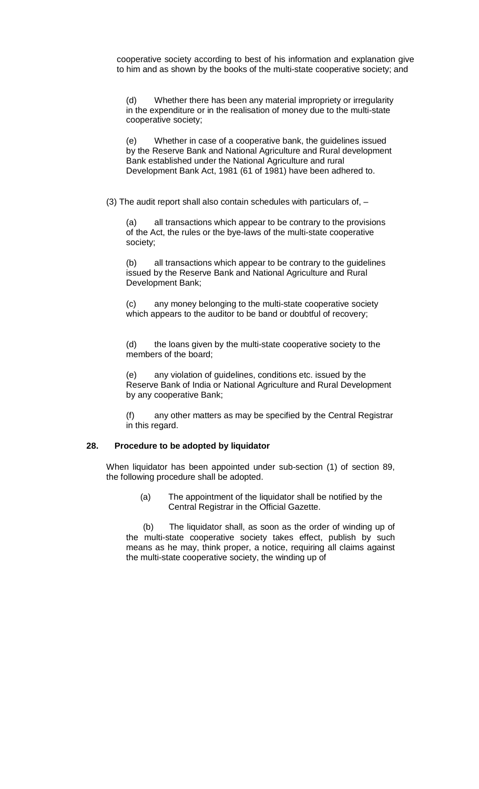cooperative society according to best of his information and explanation give to him and as shown by the books of the multi-state cooperative society; and

(d) Whether there has been any material impropriety or irregularity in the expenditure or in the realisation of money due to the multi-state cooperative society;

(e) Whether in case of a cooperative bank, the guidelines issued by the Reserve Bank and National Agriculture and Rural development Bank established under the National Agriculture and rural Development Bank Act, 1981 (61 of 1981) have been adhered to.

(3) The audit report shall also contain schedules with particulars of, –

(a) all transactions which appear to be contrary to the provisions of the Act, the rules or the bye-laws of the multi-state cooperative society;

(b) all transactions which appear to be contrary to the guidelines issued by the Reserve Bank and National Agriculture and Rural Development Bank;

(c) any money belonging to the multi-state cooperative society which appears to the auditor to be band or doubtful of recovery;

(d) the loans given by the multi-state cooperative society to the members of the board;

(e) any violation of guidelines, conditions etc. issued by the Reserve Bank of India or National Agriculture and Rural Development by any cooperative Bank;

(f) any other matters as may be specified by the Central Registrar in this regard.

# **28. Procedure to be adopted by liquidator**

When liquidator has been appointed under sub-section (1) of section 89, the following procedure shall be adopted.

> (a) The appointment of the liquidator shall be notified by the Central Registrar in the Official Gazette.

 (b) The liquidator shall, as soon as the order of winding up of the multi-state cooperative society takes effect, publish by such means as he may, think proper, a notice, requiring all claims against the multi-state cooperative society, the winding up of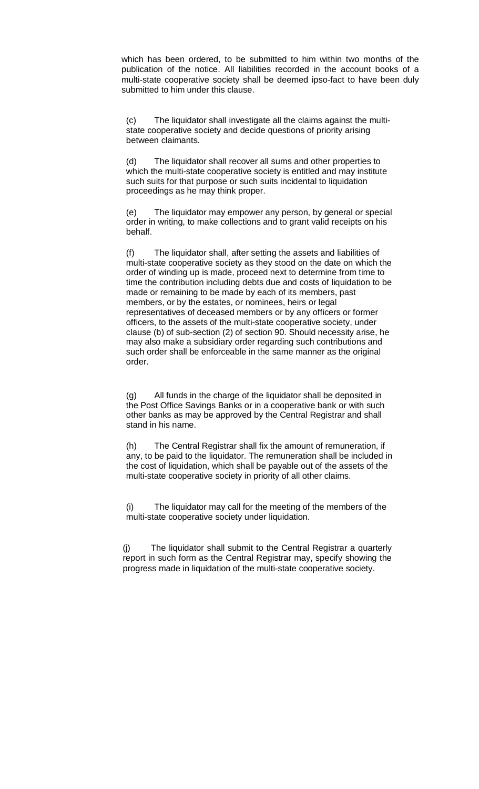which has been ordered, to be submitted to him within two months of the publication of the notice. All liabilities recorded in the account books of a multi-state cooperative society shall be deemed ipso-fact to have been duly submitted to him under this clause.

(c) The liquidator shall investigate all the claims against the multistate cooperative society and decide questions of priority arising between claimants.

(d) The liquidator shall recover all sums and other properties to which the multi-state cooperative society is entitled and may institute such suits for that purpose or such suits incidental to liquidation proceedings as he may think proper.

(e) The liquidator may empower any person, by general or special order in writing, to make collections and to grant valid receipts on his behalf.

(f) The liquidator shall, after setting the assets and liabilities of multi-state cooperative society as they stood on the date on which the order of winding up is made, proceed next to determine from time to time the contribution including debts due and costs of liquidation to be made or remaining to be made by each of its members, past members, or by the estates, or nominees, heirs or legal representatives of deceased members or by any officers or former officers, to the assets of the multi-state cooperative society, under clause (b) of sub-section (2) of section 90. Should necessity arise, he may also make a subsidiary order regarding such contributions and such order shall be enforceable in the same manner as the original order.

(g) All funds in the charge of the liquidator shall be deposited in the Post Office Savings Banks or in a cooperative bank or with such other banks as may be approved by the Central Registrar and shall stand in his name.

(h) The Central Registrar shall fix the amount of remuneration, if any, to be paid to the liquidator. The remuneration shall be included in the cost of liquidation, which shall be payable out of the assets of the multi-state cooperative society in priority of all other claims.

(i) The liquidator may call for the meeting of the members of the multi-state cooperative society under liquidation.

(j) The liquidator shall submit to the Central Registrar a quarterly report in such form as the Central Registrar may, specify showing the progress made in liquidation of the multi-state cooperative society.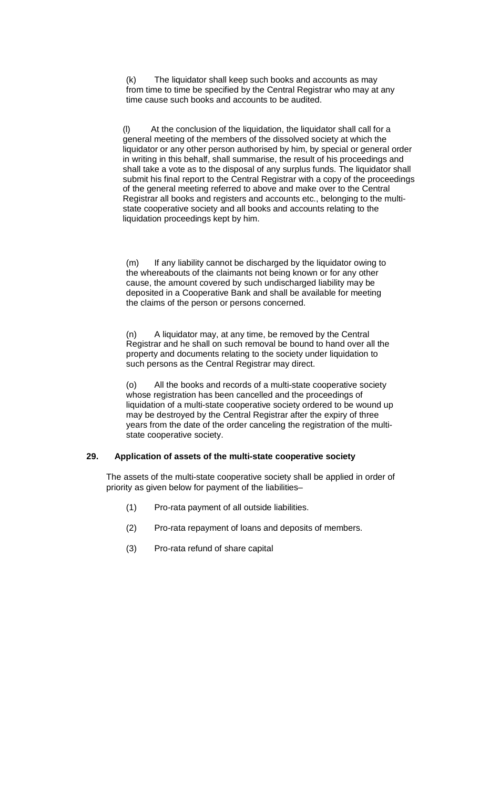(k) The liquidator shall keep such books and accounts as may from time to time be specified by the Central Registrar who may at any time cause such books and accounts to be audited.

(l) At the conclusion of the liquidation, the liquidator shall call for a general meeting of the members of the dissolved society at which the liquidator or any other person authorised by him, by special or general order in writing in this behalf, shall summarise, the result of his proceedings and shall take a vote as to the disposal of any surplus funds. The liquidator shall submit his final report to the Central Registrar with a copy of the proceedings of the general meeting referred to above and make over to the Central Registrar all books and registers and accounts etc., belonging to the multistate cooperative society and all books and accounts relating to the liquidation proceedings kept by him.

(m) If any liability cannot be discharged by the liquidator owing to the whereabouts of the claimants not being known or for any other cause, the amount covered by such undischarged liability may be deposited in a Cooperative Bank and shall be available for meeting the claims of the person or persons concerned.

(n) A liquidator may, at any time, be removed by the Central Registrar and he shall on such removal be bound to hand over all the property and documents relating to the society under liquidation to such persons as the Central Registrar may direct.

(o) All the books and records of a multi-state cooperative society whose registration has been cancelled and the proceedings of liquidation of a multi-state cooperative society ordered to be wound up may be destroyed by the Central Registrar after the expiry of three years from the date of the order canceling the registration of the multistate cooperative society.

# **29. Application of assets of the multi-state cooperative society**

The assets of the multi-state cooperative society shall be applied in order of priority as given below for payment of the liabilities–

- (1) Pro-rata payment of all outside liabilities.
- (2) Pro-rata repayment of loans and deposits of members.
- (3) Pro-rata refund of share capital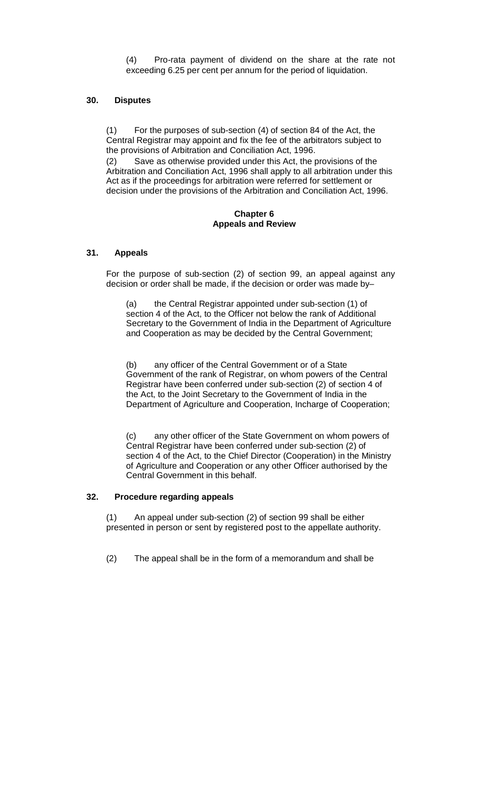(4) Pro-rata payment of dividend on the share at the rate not exceeding 6.25 per cent per annum for the period of liquidation.

# **30. Disputes**

For the purposes of sub-section (4) of section 84 of the Act, the Central Registrar may appoint and fix the fee of the arbitrators subject to the provisions of Arbitration and Conciliation Act, 1996.

(2) Save as otherwise provided under this Act, the provisions of the Arbitration and Conciliation Act, 1996 shall apply to all arbitration under this Act as if the proceedings for arbitration were referred for settlement or decision under the provisions of the Arbitration and Conciliation Act, 1996.

#### **Chapter 6 Appeals and Review**

#### **31. Appeals**

For the purpose of sub-section (2) of section 99, an appeal against any decision or order shall be made, if the decision or order was made by–

 (a) the Central Registrar appointed under sub-section (1) of section 4 of the Act, to the Officer not below the rank of Additional Secretary to the Government of India in the Department of Agriculture and Cooperation as may be decided by the Central Government;

(b) any officer of the Central Government or of a State Government of the rank of Registrar, on whom powers of the Central Registrar have been conferred under sub-section (2) of section 4 of the Act, to the Joint Secretary to the Government of India in the Department of Agriculture and Cooperation, Incharge of Cooperation;

(c) any other officer of the State Government on whom powers of Central Registrar have been conferred under sub-section (2) of section 4 of the Act, to the Chief Director (Cooperation) in the Ministry of Agriculture and Cooperation or any other Officer authorised by the Central Government in this behalf.

#### **32. Procedure regarding appeals**

(1) An appeal under sub-section (2) of section 99 shall be either presented in person or sent by registered post to the appellate authority.

(2) The appeal shall be in the form of a memorandum and shall be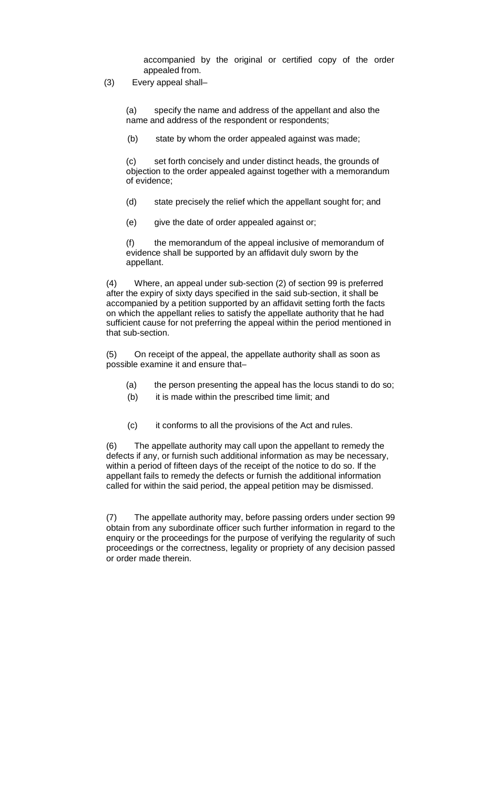accompanied by the original or certified copy of the order appealed from.

(3) Every appeal shall–

(a) specify the name and address of the appellant and also the name and address of the respondent or respondents;

(b) state by whom the order appealed against was made;

(c) set forth concisely and under distinct heads, the grounds of objection to the order appealed against together with a memorandum of evidence;

- (d) state precisely the relief which the appellant sought for; and
- (e) give the date of order appealed against or;

(f) the memorandum of the appeal inclusive of memorandum of evidence shall be supported by an affidavit duly sworn by the appellant.

(4) Where, an appeal under sub-section (2) of section 99 is preferred after the expiry of sixty days specified in the said sub-section, it shall be accompanied by a petition supported by an affidavit setting forth the facts on which the appellant relies to satisfy the appellate authority that he had sufficient cause for not preferring the appeal within the period mentioned in that sub-section.

(5) On receipt of the appeal, the appellate authority shall as soon as possible examine it and ensure that–

- (a) the person presenting the appeal has the locus standi to do so;
- (b) it is made within the prescribed time limit; and
- (c) it conforms to all the provisions of the Act and rules.

(6) The appellate authority may call upon the appellant to remedy the defects if any, or furnish such additional information as may be necessary, within a period of fifteen days of the receipt of the notice to do so. If the appellant fails to remedy the defects or furnish the additional information called for within the said period, the appeal petition may be dismissed.

(7) The appellate authority may, before passing orders under section 99 obtain from any subordinate officer such further information in regard to the enquiry or the proceedings for the purpose of verifying the regularity of such proceedings or the correctness, legality or propriety of any decision passed or order made therein.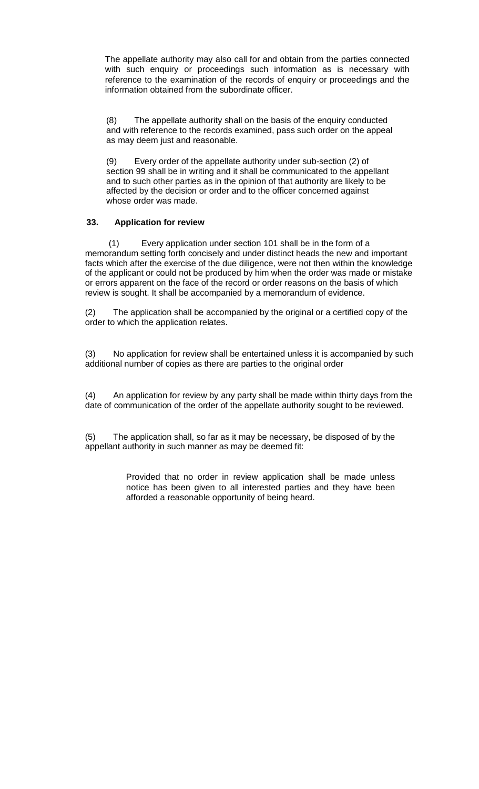The appellate authority may also call for and obtain from the parties connected with such enquiry or proceedings such information as is necessary with reference to the examination of the records of enquiry or proceedings and the information obtained from the subordinate officer.

(8) The appellate authority shall on the basis of the enquiry conducted and with reference to the records examined, pass such order on the appeal as may deem just and reasonable.

(9) Every order of the appellate authority under sub-section (2) of section 99 shall be in writing and it shall be communicated to the appellant and to such other parties as in the opinion of that authority are likely to be affected by the decision or order and to the officer concerned against whose order was made.

# **33. Application for review**

 (1) Every application under section 101 shall be in the form of a memorandum setting forth concisely and under distinct heads the new and important facts which after the exercise of the due diligence, were not then within the knowledge of the applicant or could not be produced by him when the order was made or mistake or errors apparent on the face of the record or order reasons on the basis of which review is sought. It shall be accompanied by a memorandum of evidence.

(2) The application shall be accompanied by the original or a certified copy of the order to which the application relates.

(3) No application for review shall be entertained unless it is accompanied by such additional number of copies as there are parties to the original order

(4) An application for review by any party shall be made within thirty days from the date of communication of the order of the appellate authority sought to be reviewed.

(5) The application shall, so far as it may be necessary, be disposed of by the appellant authority in such manner as may be deemed fit:

> Provided that no order in review application shall be made unless notice has been given to all interested parties and they have been afforded a reasonable opportunity of being heard.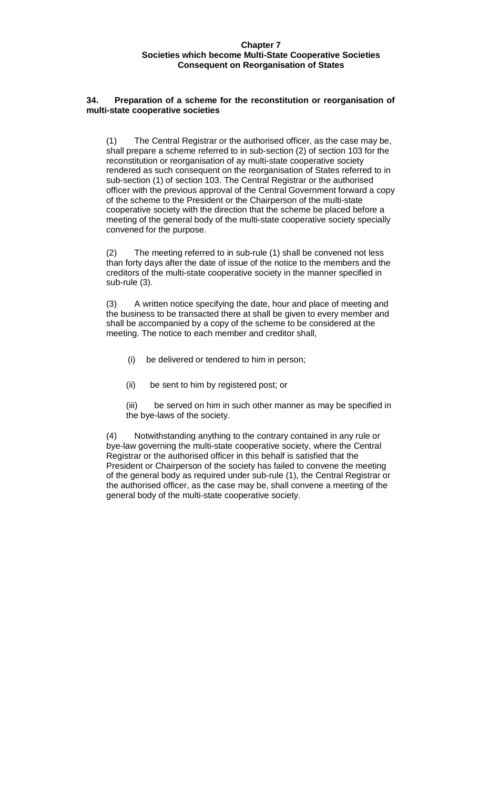#### **Chapter 7 Societies which become Multi-State Cooperative Societies Consequent on Reorganisation of States**

#### **34. Preparation of a scheme for the reconstitution or reorganisation of multi-state cooperative societies**

(1) The Central Registrar or the authorised officer, as the case may be, shall prepare a scheme referred to in sub-section (2) of section 103 for the reconstitution or reorganisation of ay multi-state cooperative society rendered as such consequent on the reorganisation of States referred to in sub-section (1) of section 103. The Central Registrar or the authorised officer with the previous approval of the Central Government forward a copy of the scheme to the President or the Chairperson of the multi-state cooperative society with the direction that the scheme be placed before a meeting of the general body of the multi-state cooperative society specially convened for the purpose.

(2) The meeting referred to in sub-rule (1) shall be convened not less than forty days after the date of issue of the notice to the members and the creditors of the multi-state cooperative society in the manner specified in sub-rule (3).

(3) A written notice specifying the date, hour and place of meeting and the business to be transacted there at shall be given to every member and shall be accompanied by a copy of the scheme to be considered at the meeting. The notice to each member and creditor shall,

- (i) be delivered or tendered to him in person;
- (ii) be sent to him by registered post; or

(iii) be served on him in such other manner as may be specified in the bye-laws of the society.

(4) Notwithstanding anything to the contrary contained in any rule or bye-law governing the multi-state cooperative society, where the Central Registrar or the authorised officer in this behalf is satisfied that the President or Chairperson of the society has failed to convene the meeting of the general body as required under sub-rule (1), the Central Registrar or the authorised officer, as the case may be, shall convene a meeting of the general body of the multi-state cooperative society.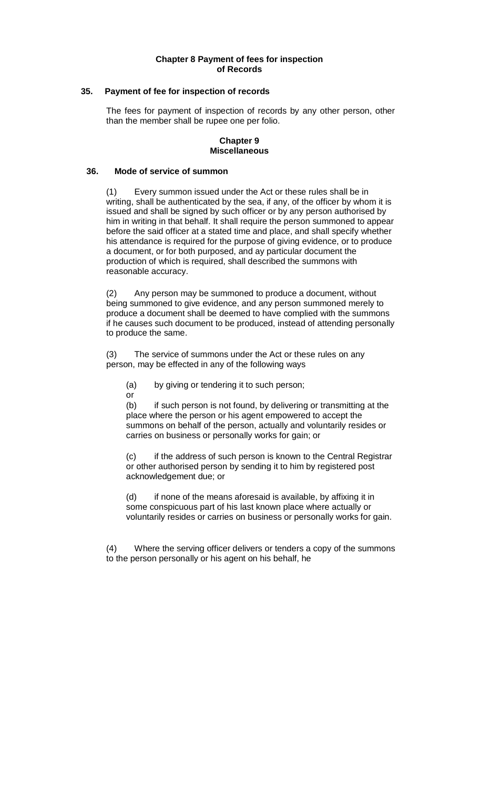#### **Chapter 8 Payment of fees for inspection of Records**

#### **35. Payment of fee for inspection of records**

The fees for payment of inspection of records by any other person, other than the member shall be rupee one per folio.

#### **Chapter 9 Miscellaneous**

#### **36. Mode of service of summon**

(1) Every summon issued under the Act or these rules shall be in writing, shall be authenticated by the sea, if any, of the officer by whom it is issued and shall be signed by such officer or by any person authorised by him in writing in that behalf. It shall require the person summoned to appear before the said officer at a stated time and place, and shall specify whether his attendance is required for the purpose of giving evidence, or to produce a document, or for both purposed, and ay particular document the production of which is required, shall described the summons with reasonable accuracy.

(2) Any person may be summoned to produce a document, without being summoned to give evidence, and any person summoned merely to produce a document shall be deemed to have complied with the summons if he causes such document to be produced, instead of attending personally to produce the same.

(3) The service of summons under the Act or these rules on any person, may be effected in any of the following ways

(a) by giving or tendering it to such person;

or

(b) if such person is not found, by delivering or transmitting at the place where the person or his agent empowered to accept the summons on behalf of the person, actually and voluntarily resides or carries on business or personally works for gain; or

(c) if the address of such person is known to the Central Registrar or other authorised person by sending it to him by registered post acknowledgement due; or

(d) if none of the means aforesaid is available, by affixing it in some conspicuous part of his last known place where actually or voluntarily resides or carries on business or personally works for gain.

(4) Where the serving officer delivers or tenders a copy of the summons to the person personally or his agent on his behalf, he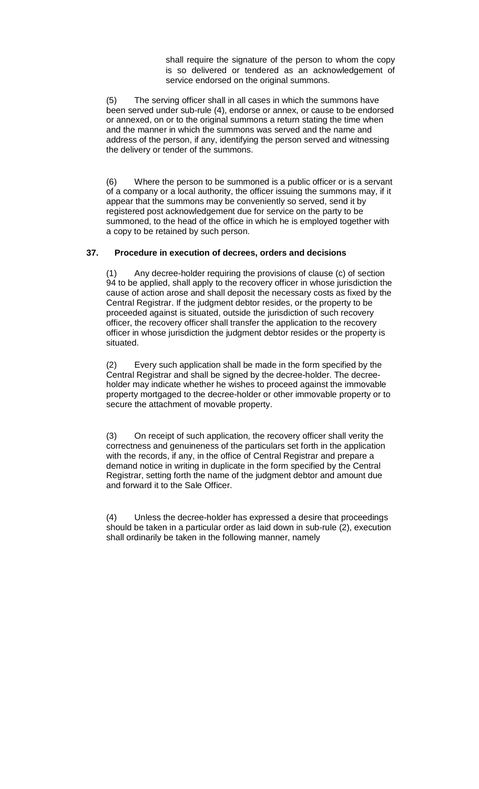shall require the signature of the person to whom the copy is so delivered or tendered as an acknowledgement of service endorsed on the original summons.

(5) The serving officer shall in all cases in which the summons have been served under sub-rule (4), endorse or annex, or cause to be endorsed or annexed, on or to the original summons a return stating the time when and the manner in which the summons was served and the name and address of the person, if any, identifying the person served and witnessing the delivery or tender of the summons.

(6) Where the person to be summoned is a public officer or is a servant of a company or a local authority, the officer issuing the summons may, if it appear that the summons may be conveniently so served, send it by registered post acknowledgement due for service on the party to be summoned, to the head of the office in which he is employed together with a copy to be retained by such person.

# **37. Procedure in execution of decrees, orders and decisions**

(1) Any decree-holder requiring the provisions of clause (c) of section 94 to be applied, shall apply to the recovery officer in whose jurisdiction the cause of action arose and shall deposit the necessary costs as fixed by the Central Registrar. If the judgment debtor resides, or the property to be proceeded against is situated, outside the jurisdiction of such recovery officer, the recovery officer shall transfer the application to the recovery officer in whose jurisdiction the judgment debtor resides or the property is situated.

(2) Every such application shall be made in the form specified by the Central Registrar and shall be signed by the decree-holder. The decreeholder may indicate whether he wishes to proceed against the immovable property mortgaged to the decree-holder or other immovable property or to secure the attachment of movable property.

(3) On receipt of such application, the recovery officer shall verity the correctness and genuineness of the particulars set forth in the application with the records, if any, in the office of Central Registrar and prepare a demand notice in writing in duplicate in the form specified by the Central Registrar, setting forth the name of the judgment debtor and amount due and forward it to the Sale Officer.

(4) Unless the decree-holder has expressed a desire that proceedings should be taken in a particular order as laid down in sub-rule (2), execution shall ordinarily be taken in the following manner, namely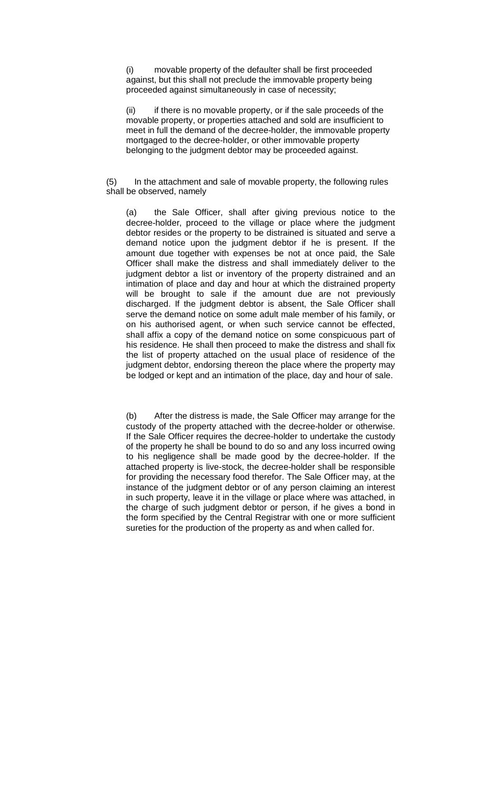(i) movable property of the defaulter shall be first proceeded against, but this shall not preclude the immovable property being proceeded against simultaneously in case of necessity;

(ii) if there is no movable property, or if the sale proceeds of the movable property, or properties attached and sold are insufficient to meet in full the demand of the decree-holder, the immovable property mortgaged to the decree-holder, or other immovable property belonging to the judgment debtor may be proceeded against.

(5) In the attachment and sale of movable property, the following rules shall be observed, namely

(a) the Sale Officer, shall after giving previous notice to the decree-holder, proceed to the village or place where the judgment debtor resides or the property to be distrained is situated and serve a demand notice upon the judgment debtor if he is present. If the amount due together with expenses be not at once paid, the Sale Officer shall make the distress and shall immediately deliver to the judgment debtor a list or inventory of the property distrained and an intimation of place and day and hour at which the distrained property will be brought to sale if the amount due are not previously discharged. If the judgment debtor is absent, the Sale Officer shall serve the demand notice on some adult male member of his family, or on his authorised agent, or when such service cannot be effected, shall affix a copy of the demand notice on some conspicuous part of his residence. He shall then proceed to make the distress and shall fix the list of property attached on the usual place of residence of the judgment debtor, endorsing thereon the place where the property may be lodged or kept and an intimation of the place, day and hour of sale.

(b) After the distress is made, the Sale Officer may arrange for the custody of the property attached with the decree-holder or otherwise. If the Sale Officer requires the decree-holder to undertake the custody of the property he shall be bound to do so and any loss incurred owing to his negligence shall be made good by the decree-holder. If the attached property is live-stock, the decree-holder shall be responsible for providing the necessary food therefor. The Sale Officer may, at the instance of the judgment debtor or of any person claiming an interest in such property, leave it in the village or place where was attached, in the charge of such judgment debtor or person, if he gives a bond in the form specified by the Central Registrar with one or more sufficient sureties for the production of the property as and when called for.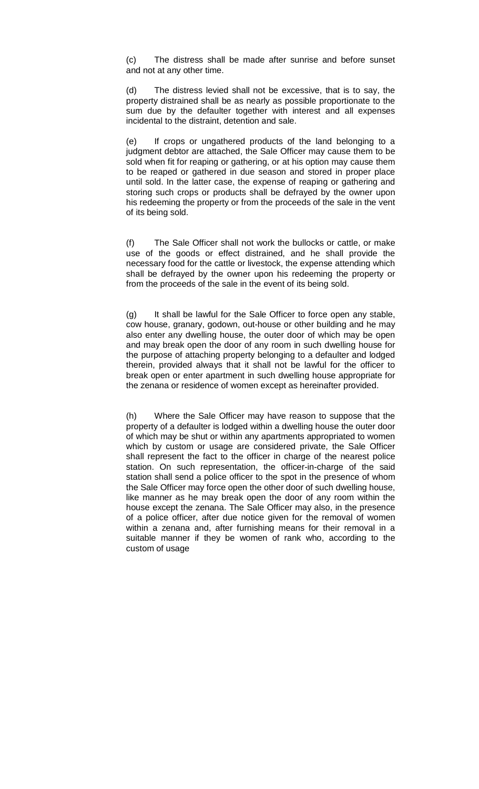(c) The distress shall be made after sunrise and before sunset and not at any other time.

(d) The distress levied shall not be excessive, that is to say, the property distrained shall be as nearly as possible proportionate to the sum due by the defaulter together with interest and all expenses incidental to the distraint, detention and sale.

(e) If crops or ungathered products of the land belonging to a judgment debtor are attached, the Sale Officer may cause them to be sold when fit for reaping or gathering, or at his option may cause them to be reaped or gathered in due season and stored in proper place until sold. In the latter case, the expense of reaping or gathering and storing such crops or products shall be defrayed by the owner upon his redeeming the property or from the proceeds of the sale in the vent of its being sold.

(f) The Sale Officer shall not work the bullocks or cattle, or make use of the goods or effect distrained, and he shall provide the necessary food for the cattle or livestock, the expense attending which shall be defrayed by the owner upon his redeeming the property or from the proceeds of the sale in the event of its being sold.

(g) It shall be lawful for the Sale Officer to force open any stable, cow house, granary, godown, out-house or other building and he may also enter any dwelling house, the outer door of which may be open and may break open the door of any room in such dwelling house for the purpose of attaching property belonging to a defaulter and lodged therein, provided always that it shall not be lawful for the officer to break open or enter apartment in such dwelling house appropriate for the zenana or residence of women except as hereinafter provided.

(h) Where the Sale Officer may have reason to suppose that the property of a defaulter is lodged within a dwelling house the outer door of which may be shut or within any apartments appropriated to women which by custom or usage are considered private, the Sale Officer shall represent the fact to the officer in charge of the nearest police station. On such representation, the officer-in-charge of the said station shall send a police officer to the spot in the presence of whom the Sale Officer may force open the other door of such dwelling house, like manner as he may break open the door of any room within the house except the zenana. The Sale Officer may also, in the presence of a police officer, after due notice given for the removal of women within a zenana and, after furnishing means for their removal in a suitable manner if they be women of rank who, according to the custom of usage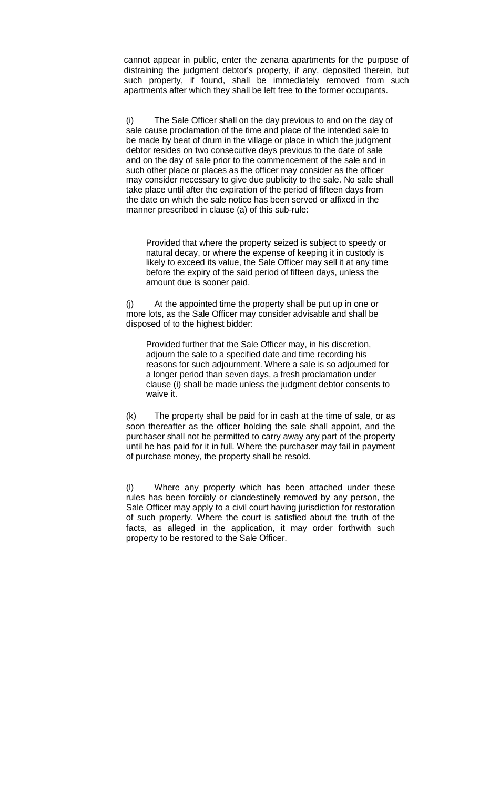cannot appear in public, enter the zenana apartments for the purpose of distraining the judgment debtor's property, if any, deposited therein, but such property, if found, shall be immediately removed from such apartments after which they shall be left free to the former occupants.

(i) The Sale Officer shall on the day previous to and on the day of sale cause proclamation of the time and place of the intended sale to be made by beat of drum in the village or place in which the judgment debtor resides on two consecutive days previous to the date of sale and on the day of sale prior to the commencement of the sale and in such other place or places as the officer may consider as the officer may consider necessary to give due publicity to the sale. No sale shall take place until after the expiration of the period of fifteen days from the date on which the sale notice has been served or affixed in the manner prescribed in clause (a) of this sub-rule:

Provided that where the property seized is subject to speedy or natural decay, or where the expense of keeping it in custody is likely to exceed its value, the Sale Officer may sell it at any time before the expiry of the said period of fifteen days, unless the amount due is sooner paid.

(j) At the appointed time the property shall be put up in one or more lots, as the Sale Officer may consider advisable and shall be disposed of to the highest bidder:

Provided further that the Sale Officer may, in his discretion, adjourn the sale to a specified date and time recording his reasons for such adjournment. Where a sale is so adjourned for a longer period than seven days, a fresh proclamation under clause (i) shall be made unless the judgment debtor consents to waive it.

(k) The property shall be paid for in cash at the time of sale, or as soon thereafter as the officer holding the sale shall appoint, and the purchaser shall not be permitted to carry away any part of the property until he has paid for it in full. Where the purchaser may fail in payment of purchase money, the property shall be resold.

(l) Where any property which has been attached under these rules has been forcibly or clandestinely removed by any person, the Sale Officer may apply to a civil court having jurisdiction for restoration of such property. Where the court is satisfied about the truth of the facts, as alleged in the application, it may order forthwith such property to be restored to the Sale Officer.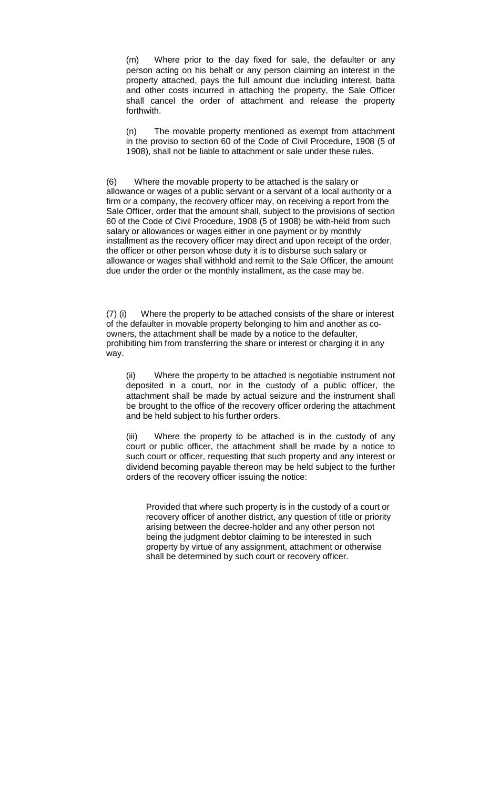(m) Where prior to the day fixed for sale, the defaulter or any person acting on his behalf or any person claiming an interest in the property attached, pays the full amount due including interest, batta and other costs incurred in attaching the property, the Sale Officer shall cancel the order of attachment and release the property forthwith.

(n) The movable property mentioned as exempt from attachment in the proviso to section 60 of the Code of Civil Procedure, 1908 (5 of 1908), shall not be liable to attachment or sale under these rules.

(6) Where the movable property to be attached is the salary or allowance or wages of a public servant or a servant of a local authority or a firm or a company, the recovery officer may, on receiving a report from the Sale Officer, order that the amount shall, subject to the provisions of section 60 of the Code of Civil Procedure, 1908 (5 of 1908) be with-held from such salary or allowances or wages either in one payment or by monthly installment as the recovery officer may direct and upon receipt of the order, the officer or other person whose duty it is to disburse such salary or allowance or wages shall withhold and remit to the Sale Officer, the amount due under the order or the monthly installment, as the case may be.

(7) (i) Where the property to be attached consists of the share or interest of the defaulter in movable property belonging to him and another as coowners, the attachment shall be made by a notice to the defaulter, prohibiting him from transferring the share or interest or charging it in any way.

(ii) Where the property to be attached is negotiable instrument not deposited in a court, nor in the custody of a public officer, the attachment shall be made by actual seizure and the instrument shall be brought to the office of the recovery officer ordering the attachment and be held subject to his further orders.

(iii) Where the property to be attached is in the custody of any court or public officer, the attachment shall be made by a notice to such court or officer, requesting that such property and any interest or dividend becoming payable thereon may be held subject to the further orders of the recovery officer issuing the notice:

Provided that where such property is in the custody of a court or recovery officer of another district, any question of title or priority arising between the decree-holder and any other person not being the judgment debtor claiming to be interested in such property by virtue of any assignment, attachment or otherwise shall be determined by such court or recovery officer.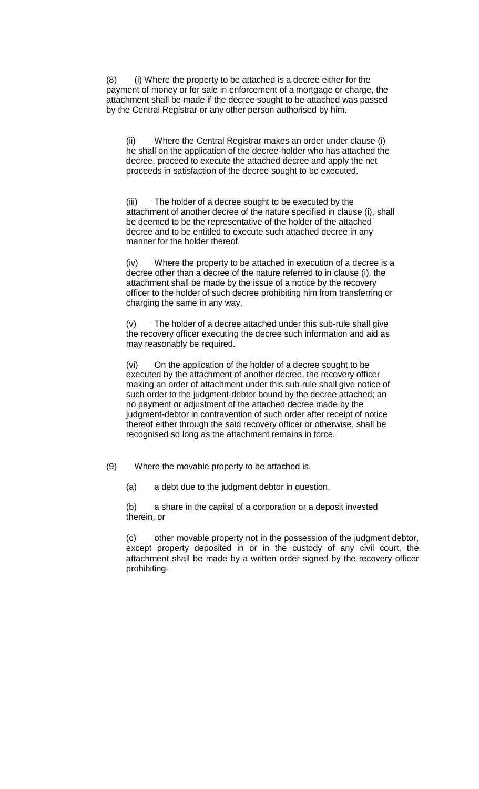(8) (i) Where the property to be attached is a decree either for the payment of money or for sale in enforcement of a mortgage or charge, the attachment shall be made if the decree sought to be attached was passed by the Central Registrar or any other person authorised by him.

(ii) Where the Central Registrar makes an order under clause (i) he shall on the application of the decree-holder who has attached the decree, proceed to execute the attached decree and apply the net proceeds in satisfaction of the decree sought to be executed.

(iii) The holder of a decree sought to be executed by the attachment of another decree of the nature specified in clause (i), shall be deemed to be the representative of the holder of the attached decree and to be entitled to execute such attached decree in any manner for the holder thereof.

(iv) Where the property to be attached in execution of a decree is a decree other than a decree of the nature referred to in clause (i), the attachment shall be made by the issue of a notice by the recovery officer to the holder of such decree prohibiting him from transferring or charging the same in any way.

(v) The holder of a decree attached under this sub-rule shall give the recovery officer executing the decree such information and aid as may reasonably be required.

(vi) On the application of the holder of a decree sought to be executed by the attachment of another decree, the recovery officer making an order of attachment under this sub-rule shall give notice of such order to the judgment-debtor bound by the decree attached; an no payment or adjustment of the attached decree made by the judgment-debtor in contravention of such order after receipt of notice thereof either through the said recovery officer or otherwise, shall be recognised so long as the attachment remains in force.

(9) Where the movable property to be attached is,

(a) a debt due to the judgment debtor in question,

(b) a share in the capital of a corporation or a deposit invested therein, or

(c) other movable property not in the possession of the judgment debtor, except property deposited in or in the custody of any civil court, the attachment shall be made by a written order signed by the recovery officer prohibiting-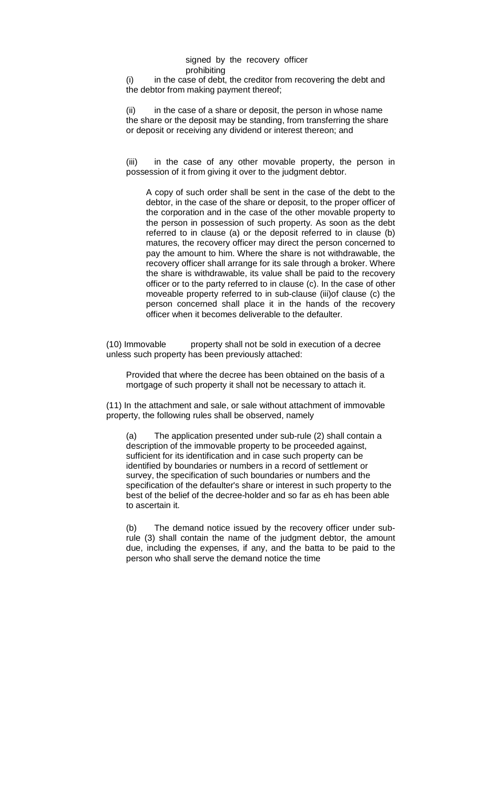#### signed by the recovery officer prohibiting

(i) in the case of debt, the creditor from recovering the debt and the debtor from making payment thereof;

(ii) in the case of a share or deposit, the person in whose name the share or the deposit may be standing, from transferring the share or deposit or receiving any dividend or interest thereon; and

(iii) in the case of any other movable property, the person in possession of it from giving it over to the judgment debtor.

A copy of such order shall be sent in the case of the debt to the debtor, in the case of the share or deposit, to the proper officer of the corporation and in the case of the other movable property to the person in possession of such property. As soon as the debt referred to in clause (a) or the deposit referred to in clause (b) matures, the recovery officer may direct the person concerned to pay the amount to him. Where the share is not withdrawable, the recovery officer shall arrange for its sale through a broker. Where the share is withdrawable, its value shall be paid to the recovery officer or to the party referred to in clause (c). In the case of other moveable property referred to in sub-clause (iii)of clause (c) the person concerned shall place it in the hands of the recovery officer when it becomes deliverable to the defaulter.

(10) Immovable property shall not be sold in execution of a decree unless such property has been previously attached:

Provided that where the decree has been obtained on the basis of a mortgage of such property it shall not be necessary to attach it.

(11) In the attachment and sale, or sale without attachment of immovable property, the following rules shall be observed, namely

The application presented under sub-rule (2) shall contain a description of the immovable property to be proceeded against, sufficient for its identification and in case such property can be identified by boundaries or numbers in a record of settlement or survey, the specification of such boundaries or numbers and the specification of the defaulter's share or interest in such property to the best of the belief of the decree-holder and so far as eh has been able to ascertain it.

(b) The demand notice issued by the recovery officer under subrule (3) shall contain the name of the judgment debtor, the amount due, including the expenses, if any, and the batta to be paid to the person who shall serve the demand notice the time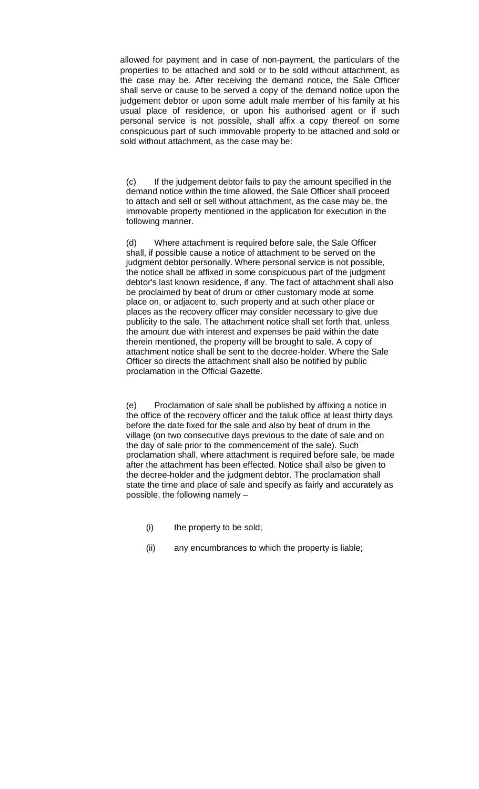allowed for payment and in case of non-payment, the particulars of the properties to be attached and sold or to be sold without attachment, as the case may be. After receiving the demand notice, the Sale Officer shall serve or cause to be served a copy of the demand notice upon the judgement debtor or upon some adult male member of his family at his usual place of residence, or upon his authorised agent or if such personal service is not possible, shall affix a copy thereof on some conspicuous part of such immovable property to be attached and sold or sold without attachment, as the case may be:

(c) If the judgement debtor fails to pay the amount specified in the demand notice within the time allowed, the Sale Officer shall proceed to attach and sell or sell without attachment, as the case may be, the immovable property mentioned in the application for execution in the following manner.

(d) Where attachment is required before sale, the Sale Officer shall, if possible cause a notice of attachment to be served on the judgment debtor personally. Where personal service is not possible, the notice shall be affixed in some conspicuous part of the judgment debtor's last known residence, if any. The fact of attachment shall also be proclaimed by beat of drum or other customary mode at some place on, or adjacent to, such property and at such other place or places as the recovery officer may consider necessary to give due publicity to the sale. The attachment notice shall set forth that, unless the amount due with interest and expenses be paid within the date therein mentioned, the property will be brought to sale. A copy of attachment notice shall be sent to the decree-holder. Where the Sale Officer so directs the attachment shall also be notified by public proclamation in the Official Gazette.

(e) Proclamation of sale shall be published by affixing a notice in the office of the recovery officer and the taluk office at least thirty days before the date fixed for the sale and also by beat of drum in the village (on two consecutive days previous to the date of sale and on the day of sale prior to the commencement of the sale). Such proclamation shall, where attachment is required before sale, be made after the attachment has been effected. Notice shall also be given to the decree-holder and the judgment debtor. The proclamation shall state the time and place of sale and specify as fairly and accurately as possible, the following namely –

- (i) the property to be sold;
- (ii) any encumbrances to which the property is liable;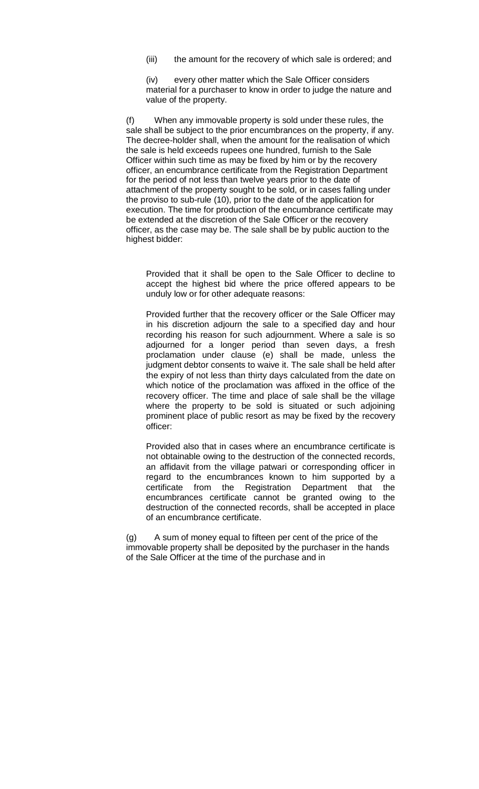(iii) the amount for the recovery of which sale is ordered; and

(iv) every other matter which the Sale Officer considers material for a purchaser to know in order to judge the nature and value of the property.

(f) When any immovable property is sold under these rules, the sale shall be subject to the prior encumbrances on the property, if any. The decree-holder shall, when the amount for the realisation of which the sale is held exceeds rupees one hundred, furnish to the Sale Officer within such time as may be fixed by him or by the recovery officer, an encumbrance certificate from the Registration Department for the period of not less than twelve years prior to the date of attachment of the property sought to be sold, or in cases falling under the proviso to sub-rule (10), prior to the date of the application for execution. The time for production of the encumbrance certificate may be extended at the discretion of the Sale Officer or the recovery officer, as the case may be. The sale shall be by public auction to the highest bidder:

Provided that it shall be open to the Sale Officer to decline to accept the highest bid where the price offered appears to be unduly low or for other adequate reasons:

Provided further that the recovery officer or the Sale Officer may in his discretion adjourn the sale to a specified day and hour recording his reason for such adjournment. Where a sale is so adjourned for a longer period than seven days, a fresh proclamation under clause (e) shall be made, unless the judgment debtor consents to waive it. The sale shall be held after the expiry of not less than thirty days calculated from the date on which notice of the proclamation was affixed in the office of the recovery officer. The time and place of sale shall be the village where the property to be sold is situated or such adjoining prominent place of public resort as may be fixed by the recovery officer:

Provided also that in cases where an encumbrance certificate is not obtainable owing to the destruction of the connected records, an affidavit from the village patwari or corresponding officer in regard to the encumbrances known to him supported by a certificate from the Registration Department that the encumbrances certificate cannot be granted owing to the destruction of the connected records, shall be accepted in place of an encumbrance certificate.

(g) A sum of money equal to fifteen per cent of the price of the immovable property shall be deposited by the purchaser in the hands of the Sale Officer at the time of the purchase and in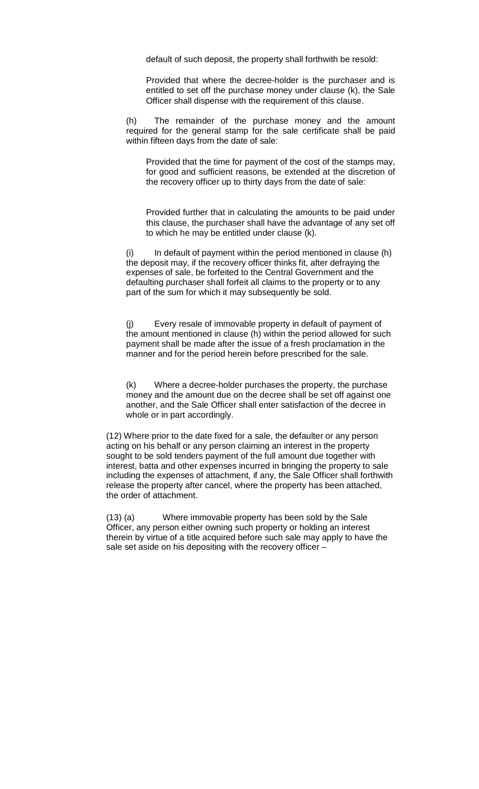default of such deposit, the property shall forthwith be resold:

Provided that where the decree-holder is the purchaser and is entitled to set off the purchase money under clause (k), the Sale Officer shall dispense with the requirement of this clause.

(h) The remainder of the purchase money and the amount required for the general stamp for the sale certificate shall be paid within fifteen days from the date of sale:

Provided that the time for payment of the cost of the stamps may, for good and sufficient reasons, be extended at the discretion of the recovery officer up to thirty days from the date of sale:

Provided further that in calculating the amounts to be paid under this clause, the purchaser shall have the advantage of any set off to which he may be entitled under clause (k).

 $(i)$  In default of payment within the period mentioned in clause  $(h)$ the deposit may, if the recovery officer thinks fit, after defraying the expenses of sale, be forfeited to the Central Government and the defaulting purchaser shall forfeit all claims to the property or to any part of the sum for which it may subsequently be sold.

(j) Every resale of immovable property in default of payment of the amount mentioned in clause (h) within the period allowed for such payment shall be made after the issue of a fresh proclamation in the manner and for the period herein before prescribed for the sale.

(k) Where a decree-holder purchases the property, the purchase money and the amount due on the decree shall be set off against one another, and the Sale Officer shall enter satisfaction of the decree in whole or in part accordingly.

 (12) Where prior to the date fixed for a sale, the defaulter or any person acting on his behalf or any person claiming an interest in the property sought to be sold tenders payment of the full amount due together with interest, batta and other expenses incurred in bringing the property to sale including the expenses of attachment, if any, the Sale Officer shall forthwith release the property after cancel, where the property has been attached, the order of attachment.

(13) (a) Where immovable property has been sold by the Sale Officer, any person either owning such property or holding an interest therein by virtue of a title acquired before such sale may apply to have the sale set aside on his depositing with the recovery officer –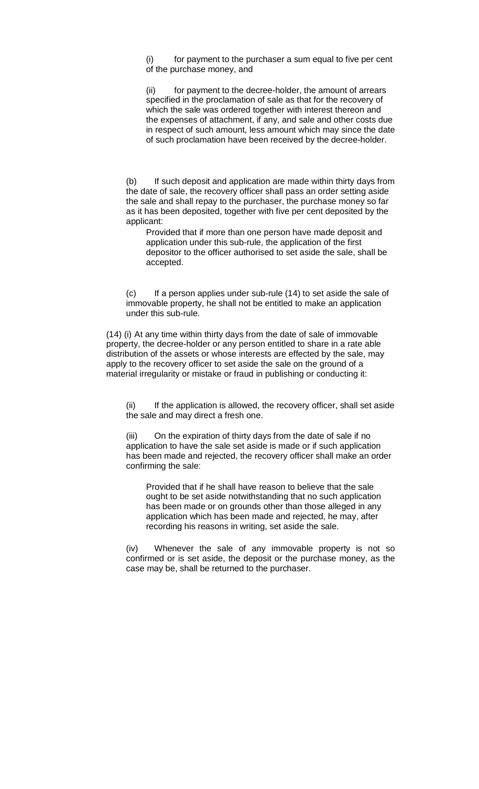(i) for payment to the purchaser a sum equal to five per cent of the purchase money, and

(ii) for payment to the decree-holder, the amount of arrears specified in the proclamation of sale as that for the recovery of which the sale was ordered together with interest thereon and the expenses of attachment, if any, and sale and other costs due in respect of such amount, less amount which may since the date of such proclamation have been received by the decree-holder.

(b) If such deposit and application are made within thirty days from the date of sale, the recovery officer shall pass an order setting aside the sale and shall repay to the purchaser, the purchase money so far as it has been deposited, together with five per cent deposited by the applicant:

Provided that if more than one person have made deposit and application under this sub-rule, the application of the first depositor to the officer authorised to set aside the sale, shall be accepted.

(c) If a person applies under sub-rule (14) to set aside the sale of immovable property, he shall not be entitled to make an application under this sub-rule.

(14) (i) At any time within thirty days from the date of sale of immovable property, the decree-holder or any person entitled to share in a rate able distribution of the assets or whose interests are effected by the sale, may apply to the recovery officer to set aside the sale on the ground of a material irregularity or mistake or fraud in publishing or conducting it:

(ii) If the application is allowed, the recovery officer, shall set aside the sale and may direct a fresh one.

On the expiration of thirty days from the date of sale if no application to have the sale set aside is made or if such application has been made and rejected, the recovery officer shall make an order confirming the sale:

Provided that if he shall have reason to believe that the sale ought to be set aside notwithstanding that no such application has been made or on grounds other than those alleged in any application which has been made and rejected, he may, after recording his reasons in writing, set aside the sale.

(iv) Whenever the sale of any immovable property is not so confirmed or is set aside, the deposit or the purchase money, as the case may be, shall be returned to the purchaser.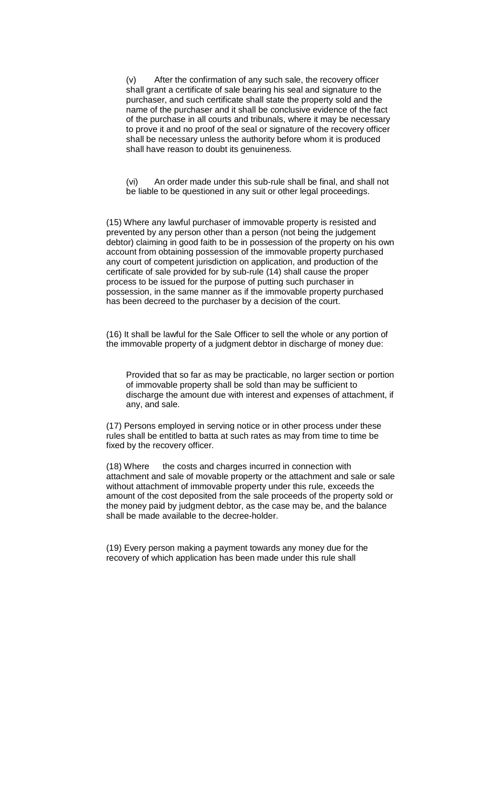(v) After the confirmation of any such sale, the recovery officer shall grant a certificate of sale bearing his seal and signature to the purchaser, and such certificate shall state the property sold and the name of the purchaser and it shall be conclusive evidence of the fact of the purchase in all courts and tribunals, where it may be necessary to prove it and no proof of the seal or signature of the recovery officer shall be necessary unless the authority before whom it is produced shall have reason to doubt its genuineness.

(vi) An order made under this sub-rule shall be final, and shall not be liable to be questioned in any suit or other legal proceedings.

(15) Where any lawful purchaser of immovable property is resisted and prevented by any person other than a person (not being the judgement debtor) claiming in good faith to be in possession of the property on his own account from obtaining possession of the immovable property purchased any court of competent jurisdiction on application, and production of the certificate of sale provided for by sub-rule (14) shall cause the proper process to be issued for the purpose of putting such purchaser in possession, in the same manner as if the immovable property purchased has been decreed to the purchaser by a decision of the court.

(16) It shall be lawful for the Sale Officer to sell the whole or any portion of the immovable property of a judgment debtor in discharge of money due:

Provided that so far as may be practicable, no larger section or portion of immovable property shall be sold than may be sufficient to discharge the amount due with interest and expenses of attachment, if any, and sale.

(17) Persons employed in serving notice or in other process under these rules shall be entitled to batta at such rates as may from time to time be fixed by the recovery officer.

(18) Where the costs and charges incurred in connection with attachment and sale of movable property or the attachment and sale or sale without attachment of immovable property under this rule, exceeds the amount of the cost deposited from the sale proceeds of the property sold or the money paid by judgment debtor, as the case may be, and the balance shall be made available to the decree-holder.

(19) Every person making a payment towards any money due for the recovery of which application has been made under this rule shall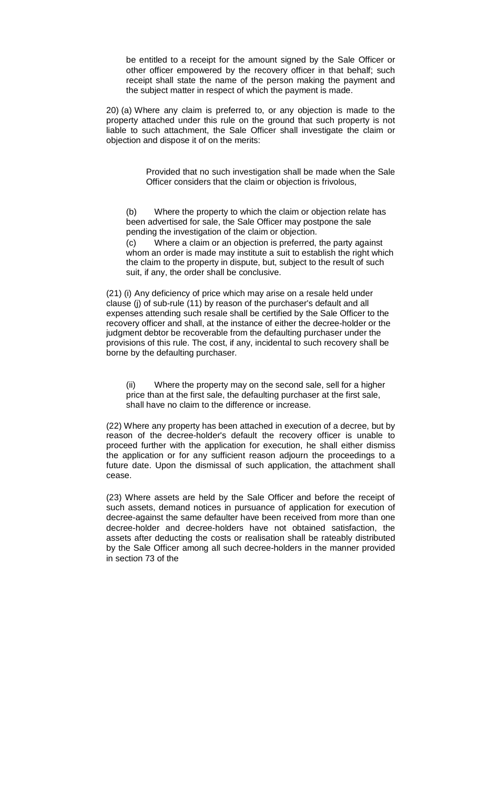be entitled to a receipt for the amount signed by the Sale Officer or other officer empowered by the recovery officer in that behalf; such receipt shall state the name of the person making the payment and the subject matter in respect of which the payment is made.

20) (a) Where any claim is preferred to, or any objection is made to the property attached under this rule on the ground that such property is not liable to such attachment, the Sale Officer shall investigate the claim or objection and dispose it of on the merits:

> Provided that no such investigation shall be made when the Sale Officer considers that the claim or objection is frivolous,

(b) Where the property to which the claim or objection relate has been advertised for sale, the Sale Officer may postpone the sale pending the investigation of the claim or objection.

(c) Where a claim or an objection is preferred, the party against whom an order is made may institute a suit to establish the right which the claim to the property in dispute, but, subject to the result of such suit, if any, the order shall be conclusive.

(21) (i) Any deficiency of price which may arise on a resale held under clause (j) of sub-rule (11) by reason of the purchaser's default and all expenses attending such resale shall be certified by the Sale Officer to the recovery officer and shall, at the instance of either the decree-holder or the judgment debtor be recoverable from the defaulting purchaser under the provisions of this rule. The cost, if any, incidental to such recovery shall be borne by the defaulting purchaser.

(ii) Where the property may on the second sale, sell for a higher price than at the first sale, the defaulting purchaser at the first sale, shall have no claim to the difference or increase.

(22) Where any property has been attached in execution of a decree, but by reason of the decree-holder's default the recovery officer is unable to proceed further with the application for execution, he shall either dismiss the application or for any sufficient reason adjourn the proceedings to a future date. Upon the dismissal of such application, the attachment shall cease.

(23) Where assets are held by the Sale Officer and before the receipt of such assets, demand notices in pursuance of application for execution of decree-against the same defaulter have been received from more than one decree-holder and decree-holders have not obtained satisfaction, the assets after deducting the costs or realisation shall be rateably distributed by the Sale Officer among all such decree-holders in the manner provided in section 73 of the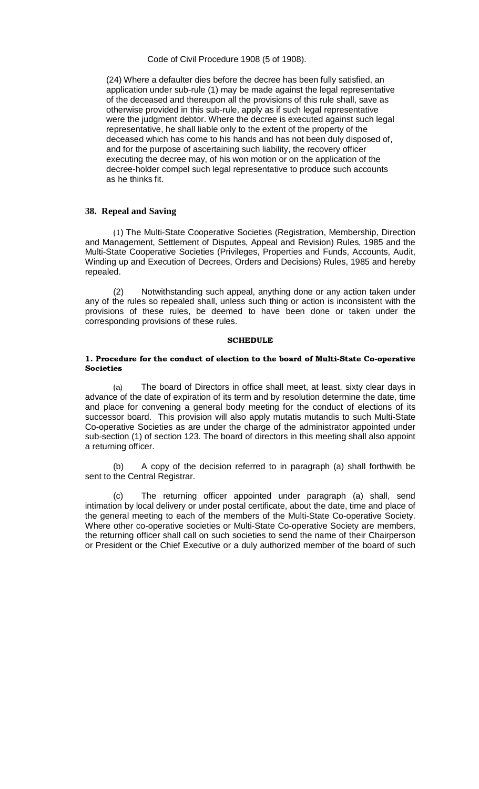Code of Civil Procedure 1908 (5 of 1908).

(24) Where a defaulter dies before the decree has been fully satisfied, an application under sub-rule (1) may be made against the legal representative of the deceased and thereupon all the provisions of this rule shall, save as otherwise provided in this sub-rule, apply as if such legal representative were the judgment debtor. Where the decree is executed against such legal representative, he shall liable only to the extent of the property of the deceased which has come to his hands and has not been duly disposed of, and for the purpose of ascertaining such liability, the recovery officer executing the decree may, of his won motion or on the application of the decree-holder compel such legal representative to produce such accounts as he thinks fit.

#### **38. Repeal and Saving**

(1) The Multi-State Cooperative Societies (Registration, Membership, Direction and Management, Settlement of Disputes, Appeal and Revision) Rules, 1985 and the Multi-State Cooperative Societies (Privileges, Properties and Funds, Accounts, Audit, Winding up and Execution of Decrees, Orders and Decisions) Rules, 1985 and hereby repealed.

 (2) Notwithstanding such appeal, anything done or any action taken under any of the rules so repealed shall, unless such thing or action is inconsistent with the provisions of these rules, be deemed to have been done or taken under the corresponding provisions of these rules.

#### **SCHEDULE**

#### 1. Procedure for the conduct of election to the board of Multi-State Co-operative Societies

 (a) The board of Directors in office shall meet, at least, sixty clear days in advance of the date of expiration of its term and by resolution determine the date, time and place for convening a general body meeting for the conduct of elections of its successor board. This provision will also apply mutatis mutandis to such Multi-State Co-operative Societies as are under the charge of the administrator appointed under sub-section (1) of section 123. The board of directors in this meeting shall also appoint a returning officer.

 (b) A copy of the decision referred to in paragraph (a) shall forthwith be sent to the Central Registrar.

 (c) The returning officer appointed under paragraph (a) shall, send intimation by local delivery or under postal certificate, about the date, time and place of the general meeting to each of the members of the Multi-State Co-operative Society. Where other co-operative societies or Multi-State Co-operative Society are members, the returning officer shall call on such societies to send the name of their Chairperson or President or the Chief Executive or a duly authorized member of the board of such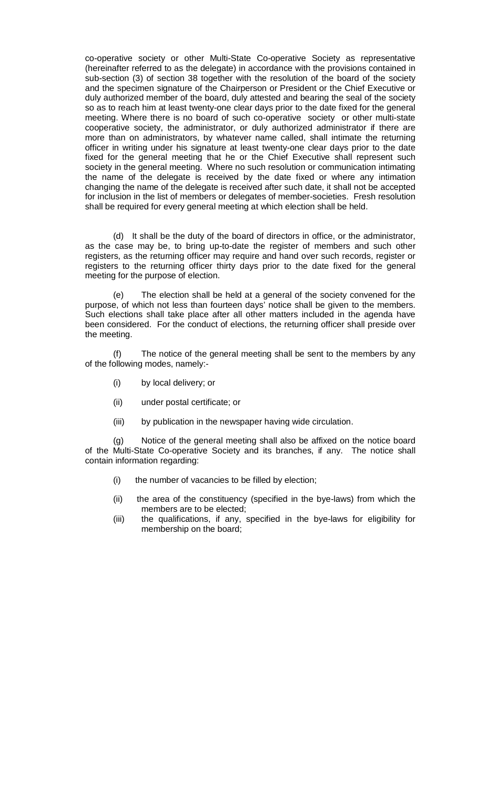co-operative society or other Multi-State Co-operative Society as representative (hereinafter referred to as the delegate) in accordance with the provisions contained in sub-section (3) of section 38 together with the resolution of the board of the society and the specimen signature of the Chairperson or President or the Chief Executive or duly authorized member of the board, duly attested and bearing the seal of the society so as to reach him at least twenty-one clear days prior to the date fixed for the general meeting. Where there is no board of such co-operative society or other multi-state cooperative society, the administrator, or duly authorized administrator if there are more than on administrators, by whatever name called, shall intimate the returning officer in writing under his signature at least twenty-one clear days prior to the date fixed for the general meeting that he or the Chief Executive shall represent such society in the general meeting. Where no such resolution or communication intimating the name of the delegate is received by the date fixed or where any intimation changing the name of the delegate is received after such date, it shall not be accepted for inclusion in the list of members or delegates of member-societies. Fresh resolution shall be required for every general meeting at which election shall be held.

(d) It shall be the duty of the board of directors in office, or the administrator, as the case may be, to bring up-to-date the register of members and such other registers, as the returning officer may require and hand over such records, register or registers to the returning officer thirty days prior to the date fixed for the general meeting for the purpose of election.

(e) The election shall be held at a general of the society convened for the purpose, of which not less than fourteen days' notice shall be given to the members. Such elections shall take place after all other matters included in the agenda have been considered. For the conduct of elections, the returning officer shall preside over the meeting.

(f) The notice of the general meeting shall be sent to the members by any of the following modes, namely:-

- (i) by local delivery; or
- (ii) under postal certificate; or
- (iii) by publication in the newspaper having wide circulation.

(g) Notice of the general meeting shall also be affixed on the notice board of the Multi-State Co-operative Society and its branches, if any. The notice shall contain information regarding:

- (i) the number of vacancies to be filled by election;
- (ii) the area of the constituency (specified in the bye-laws) from which the members are to be elected;
- (iii) the qualifications, if any, specified in the bye-laws for eligibility for membership on the board;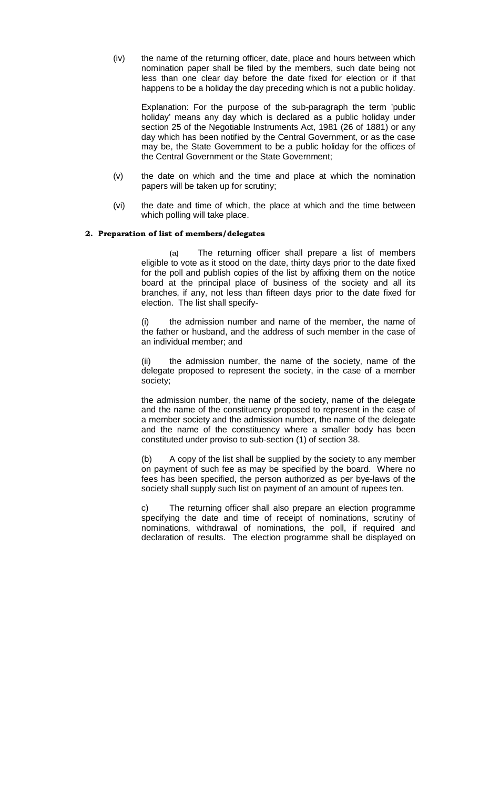(iv) the name of the returning officer, date, place and hours between which nomination paper shall be filed by the members, such date being not less than one clear day before the date fixed for election or if that happens to be a holiday the day preceding which is not a public holiday.

Explanation: For the purpose of the sub-paragraph the term 'public holiday' means any day which is declared as a public holiday under section 25 of the Negotiable Instruments Act, 1981 (26 of 1881) or any day which has been notified by the Central Government, or as the case may be, the State Government to be a public holiday for the offices of the Central Government or the State Government;

- (v) the date on which and the time and place at which the nomination papers will be taken up for scrutiny;
- (vi) the date and time of which, the place at which and the time between which polling will take place.

#### 2. Preparation of list of members/delegates

 (a) The returning officer shall prepare a list of members eligible to vote as it stood on the date, thirty days prior to the date fixed for the poll and publish copies of the list by affixing them on the notice board at the principal place of business of the society and all its branches, if any, not less than fifteen days prior to the date fixed for election. The list shall specify-

(i) the admission number and name of the member, the name of the father or husband, and the address of such member in the case of an individual member; and

(ii) the admission number, the name of the society, name of the delegate proposed to represent the society, in the case of a member society;

the admission number, the name of the society, name of the delegate and the name of the constituency proposed to represent in the case of a member society and the admission number, the name of the delegate and the name of the constituency where a smaller body has been constituted under proviso to sub-section (1) of section 38.

(b) A copy of the list shall be supplied by the society to any member on payment of such fee as may be specified by the board. Where no fees has been specified, the person authorized as per bye-laws of the society shall supply such list on payment of an amount of rupees ten.

c) The returning officer shall also prepare an election programme specifying the date and time of receipt of nominations, scrutiny of nominations, withdrawal of nominations, the poll, if required and declaration of results. The election programme shall be displayed on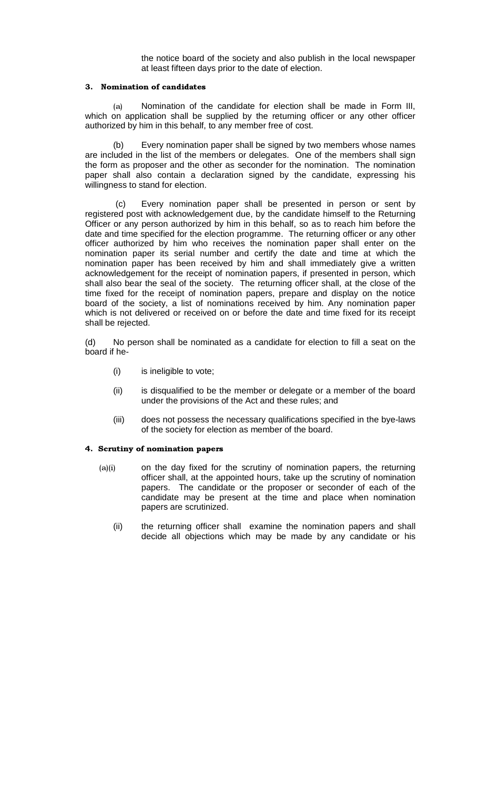the notice board of the society and also publish in the local newspaper at least fifteen days prior to the date of election.

#### 3. Nomination of candidates

 (a) Nomination of the candidate for election shall be made in Form III, which on application shall be supplied by the returning officer or any other officer authorized by him in this behalf, to any member free of cost.

Every nomination paper shall be signed by two members whose names are included in the list of the members or delegates. One of the members shall sign the form as proposer and the other as seconder for the nomination. The nomination paper shall also contain a declaration signed by the candidate, expressing his willingness to stand for election.

Every nomination paper shall be presented in person or sent by registered post with acknowledgement due, by the candidate himself to the Returning Officer or any person authorized by him in this behalf, so as to reach him before the date and time specified for the election programme. The returning officer or any other officer authorized by him who receives the nomination paper shall enter on the nomination paper its serial number and certify the date and time at which the nomination paper has been received by him and shall immediately give a written acknowledgement for the receipt of nomination papers, if presented in person, which shall also bear the seal of the society. The returning officer shall, at the close of the time fixed for the receipt of nomination papers, prepare and display on the notice board of the society, a list of nominations received by him. Any nomination paper which is not delivered or received on or before the date and time fixed for its receipt shall be rejected.

(d) No person shall be nominated as a candidate for election to fill a seat on the board if he-

- (i) is ineligible to vote;
- (ii) is disqualified to be the member or delegate or a member of the board under the provisions of the Act and these rules; and
- (iii) does not possess the necessary qualifications specified in the bye-laws of the society for election as member of the board.

#### 4. Scrutiny of nomination papers

- (a)(i) on the day fixed for the scrutiny of nomination papers, the returning officer shall, at the appointed hours, take up the scrutiny of nomination papers. The candidate or the proposer or seconder of each of the candidate may be present at the time and place when nomination papers are scrutinized.
	- (ii) the returning officer shall examine the nomination papers and shall decide all objections which may be made by any candidate or his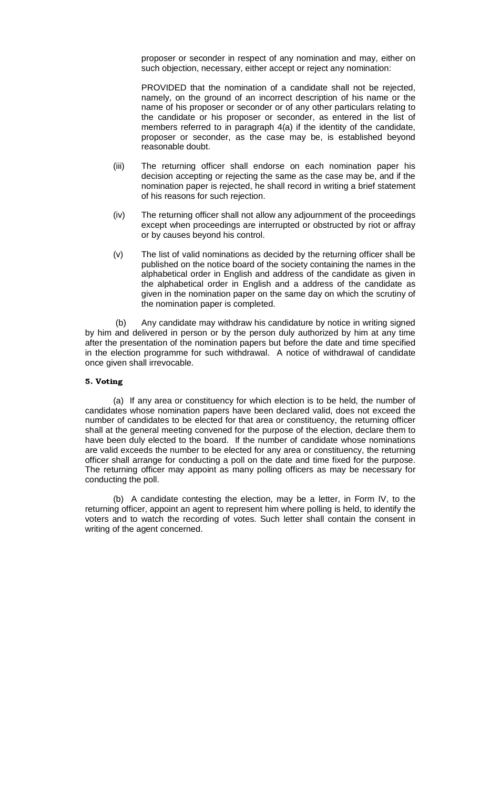proposer or seconder in respect of any nomination and may, either on such objection, necessary, either accept or reject any nomination:

 PROVIDED that the nomination of a candidate shall not be rejected, namely, on the ground of an incorrect description of his name or the name of his proposer or seconder or of any other particulars relating to the candidate or his proposer or seconder, as entered in the list of members referred to in paragraph 4(a) if the identity of the candidate, proposer or seconder, as the case may be, is established beyond reasonable doubt.

- (iii) The returning officer shall endorse on each nomination paper his decision accepting or rejecting the same as the case may be, and if the nomination paper is rejected, he shall record in writing a brief statement of his reasons for such rejection.
- (iv) The returning officer shall not allow any adjournment of the proceedings except when proceedings are interrupted or obstructed by riot or affray or by causes beyond his control.
- (v) The list of valid nominations as decided by the returning officer shall be published on the notice board of the society containing the names in the alphabetical order in English and address of the candidate as given in the alphabetical order in English and a address of the candidate as given in the nomination paper on the same day on which the scrutiny of the nomination paper is completed.

 (b) Any candidate may withdraw his candidature by notice in writing signed by him and delivered in person or by the person duly authorized by him at any time after the presentation of the nomination papers but before the date and time specified in the election programme for such withdrawal. A notice of withdrawal of candidate once given shall irrevocable.

#### 5. Voting

(a) If any area or constituency for which election is to be held, the number of candidates whose nomination papers have been declared valid, does not exceed the number of candidates to be elected for that area or constituency, the returning officer shall at the general meeting convened for the purpose of the election, declare them to have been duly elected to the board. If the number of candidate whose nominations are valid exceeds the number to be elected for any area or constituency, the returning officer shall arrange for conducting a poll on the date and time fixed for the purpose. The returning officer may appoint as many polling officers as may be necessary for conducting the poll.

 (b) A candidate contesting the election, may be a letter, in Form IV, to the returning officer, appoint an agent to represent him where polling is held, to identify the voters and to watch the recording of votes. Such letter shall contain the consent in writing of the agent concerned.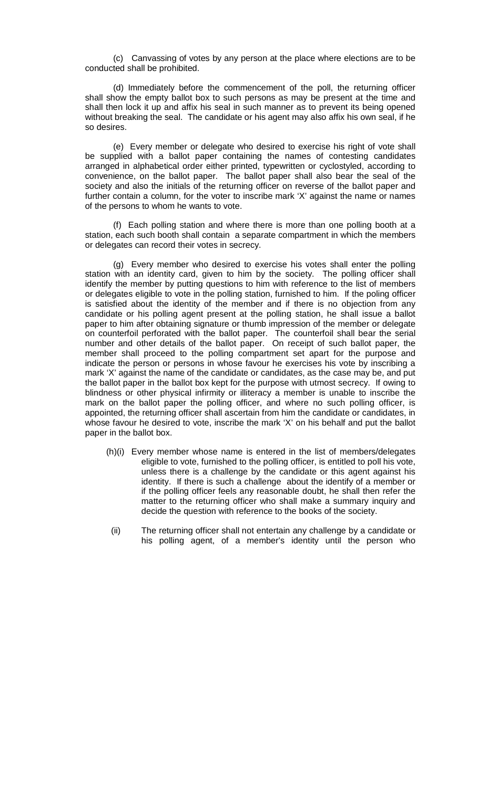(c) Canvassing of votes by any person at the place where elections are to be conducted shall be prohibited.

 (d) Immediately before the commencement of the poll, the returning officer shall show the empty ballot box to such persons as may be present at the time and shall then lock it up and affix his seal in such manner as to prevent its being opened without breaking the seal. The candidate or his agent may also affix his own seal, if he so desires.

 (e) Every member or delegate who desired to exercise his right of vote shall be supplied with a ballot paper containing the names of contesting candidates arranged in alphabetical order either printed, typewritten or cyclostyled, according to convenience, on the ballot paper. The ballot paper shall also bear the seal of the society and also the initials of the returning officer on reverse of the ballot paper and further contain a column, for the voter to inscribe mark 'X' against the name or names of the persons to whom he wants to vote.

 (f) Each polling station and where there is more than one polling booth at a station, each such booth shall contain a separate compartment in which the members or delegates can record their votes in secrecy.

 (g) Every member who desired to exercise his votes shall enter the polling station with an identity card, given to him by the society. The polling officer shall identify the member by putting questions to him with reference to the list of members or delegates eligible to vote in the polling station, furnished to him. If the poling officer is satisfied about the identity of the member and if there is no objection from any candidate or his polling agent present at the polling station, he shall issue a ballot paper to him after obtaining signature or thumb impression of the member or delegate on counterfoil perforated with the ballot paper. The counterfoil shall bear the serial number and other details of the ballot paper. On receipt of such ballot paper, the member shall proceed to the polling compartment set apart for the purpose and indicate the person or persons in whose favour he exercises his vote by inscribing a mark 'X' against the name of the candidate or candidates, as the case may be, and put the ballot paper in the ballot box kept for the purpose with utmost secrecy. If owing to blindness or other physical infirmity or illiteracy a member is unable to inscribe the mark on the ballot paper the polling officer, and where no such polling officer, is appointed, the returning officer shall ascertain from him the candidate or candidates, in whose favour he desired to vote, inscribe the mark 'X' on his behalf and put the ballot paper in the ballot box.

- (h)(i) Every member whose name is entered in the list of members/delegates eligible to vote, furnished to the polling officer, is entitled to poll his vote, unless there is a challenge by the candidate or this agent against his identity. If there is such a challenge about the identify of a member or if the polling officer feels any reasonable doubt, he shall then refer the matter to the returning officer who shall make a summary inquiry and decide the question with reference to the books of the society.
- (ii) The returning officer shall not entertain any challenge by a candidate or his polling agent, of a member's identity until the person who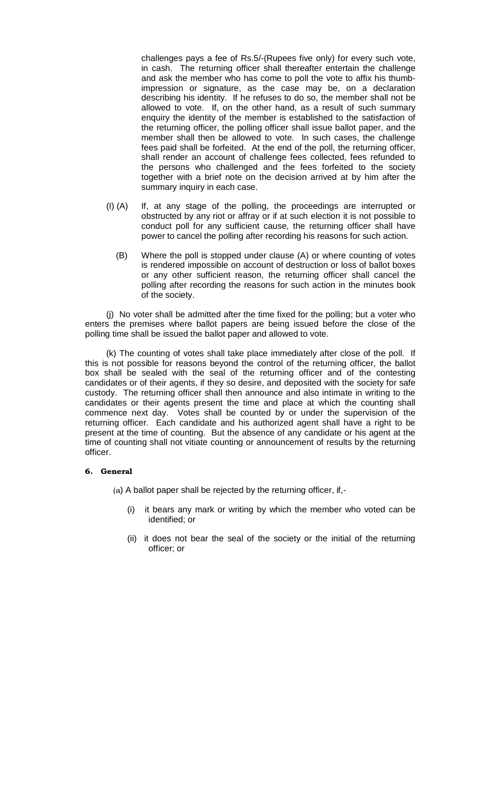challenges pays a fee of Rs.5/-(Rupees five only) for every such vote, in cash. The returning officer shall thereafter entertain the challenge and ask the member who has come to poll the vote to affix his thumbimpression or signature, as the case may be, on a declaration describing his identity. If he refuses to do so, the member shall not be allowed to vote. If, on the other hand, as a result of such summary enquiry the identity of the member is established to the satisfaction of the returning officer, the polling officer shall issue ballot paper, and the member shall then be allowed to vote. In such cases, the challenge fees paid shall be forfeited. At the end of the poll, the returning officer, shall render an account of challenge fees collected, fees refunded to the persons who challenged and the fees forfeited to the society together with a brief note on the decision arrived at by him after the summary inquiry in each case.

- (I) (A) If, at any stage of the polling, the proceedings are interrupted or obstructed by any riot or affray or if at such election it is not possible to conduct poll for any sufficient cause, the returning officer shall have power to cancel the polling after recording his reasons for such action.
	- (B) Where the poll is stopped under clause (A) or where counting of votes is rendered impossible on account of destruction or loss of ballot boxes or any other sufficient reason, the returning officer shall cancel the polling after recording the reasons for such action in the minutes book of the society.

(j) No voter shall be admitted after the time fixed for the polling; but a voter who enters the premises where ballot papers are being issued before the close of the polling time shall be issued the ballot paper and allowed to vote.

(k) The counting of votes shall take place immediately after close of the poll. If this is not possible for reasons beyond the control of the returning officer, the ballot box shall be sealed with the seal of the returning officer and of the contesting candidates or of their agents, if they so desire, and deposited with the society for safe custody. The returning officer shall then announce and also intimate in writing to the candidates or their agents present the time and place at which the counting shall commence next day. Votes shall be counted by or under the supervision of the returning officer. Each candidate and his authorized agent shall have a right to be present at the time of counting. But the absence of any candidate or his agent at the time of counting shall not vitiate counting or announcement of results by the returning officer.

#### 6. General

(a) A ballot paper shall be rejected by the returning officer, if,-

- (i) it bears any mark or writing by which the member who voted can be identified; or
- (ii) it does not bear the seal of the society or the initial of the returning officer; or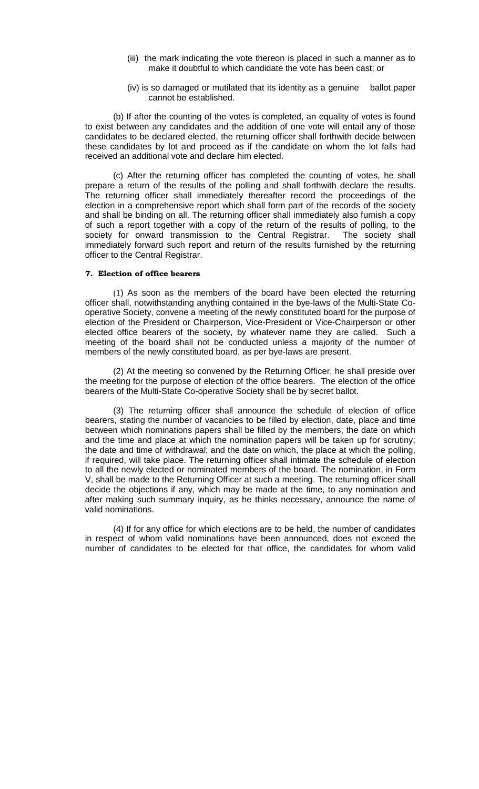- (iii) the mark indicating the vote thereon is placed in such a manner as to make it doubtful to which candidate the vote has been cast; or
- (iv) is so damaged or mutilated that its identity as a genuine ballot paper cannot be established.

 (b) If after the counting of the votes is completed, an equality of votes is found to exist between any candidates and the addition of one vote will entail any of those candidates to be declared elected, the returning officer shall forthwith decide between these candidates by lot and proceed as if the candidate on whom the lot falls had received an additional vote and declare him elected.

(c) After the returning officer has completed the counting of votes, he shall prepare a return of the results of the polling and shall forthwith declare the results. The returning officer shall immediately thereafter record the proceedings of the election in a comprehensive report which shall form part of the records of the society and shall be binding on all. The returning officer shall immediately also furnish a copy of such a report together with a copy of the return of the results of polling, to the society for onward transmission to the Central Registrar. The society shall immediately forward such report and return of the results furnished by the returning officer to the Central Registrar.

#### 7. Election of office bearers

 (1) As soon as the members of the board have been elected the returning officer shall, notwithstanding anything contained in the bye-laws of the Multi-State Cooperative Society, convene a meeting of the newly constituted board for the purpose of election of the President or Chairperson, Vice-President or Vice-Chairperson or other elected office bearers of the society, by whatever name they are called. Such a meeting of the board shall not be conducted unless a majority of the number of members of the newly constituted board, as per bye-laws are present.

 (2) At the meeting so convened by the Returning Officer, he shall preside over the meeting for the purpose of election of the office bearers. The election of the office bearers of the Multi-State Co-operative Society shall be by secret ballot.

 (3) The returning officer shall announce the schedule of election of office bearers, stating the number of vacancies to be filled by election, date, place and time between which nominations papers shall be filled by the members; the date on which and the time and place at which the nomination papers will be taken up for scrutiny; the date and time of withdrawal; and the date on which, the place at which the polling, if required, will take place. The returning officer shall intimate the schedule of election to all the newly elected or nominated members of the board. The nomination, in Form V, shall be made to the Returning Officer at such a meeting. The returning officer shall decide the objections if any, which may be made at the time, to any nomination and after making such summary inquiry, as he thinks necessary, announce the name of valid nominations.

 (4) If for any office for which elections are to be held, the number of candidates in respect of whom valid nominations have been announced, does not exceed the number of candidates to be elected for that office, the candidates for whom valid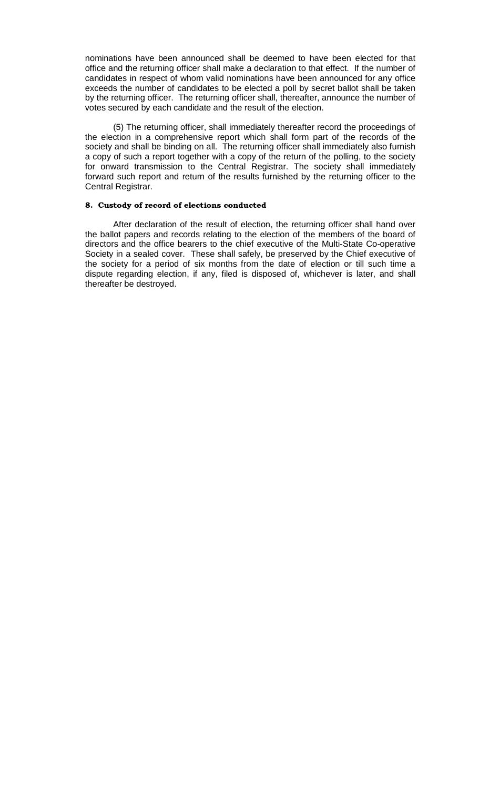nominations have been announced shall be deemed to have been elected for that office and the returning officer shall make a declaration to that effect. If the number of candidates in respect of whom valid nominations have been announced for any office exceeds the number of candidates to be elected a poll by secret ballot shall be taken by the returning officer. The returning officer shall, thereafter, announce the number of votes secured by each candidate and the result of the election.

 (5) The returning officer, shall immediately thereafter record the proceedings of the election in a comprehensive report which shall form part of the records of the society and shall be binding on all. The returning officer shall immediately also furnish a copy of such a report together with a copy of the return of the polling, to the society for onward transmission to the Central Registrar. The society shall immediately forward such report and return of the results furnished by the returning officer to the Central Registrar.

# 8. Custody of record of elections conducted

After declaration of the result of election, the returning officer shall hand over the ballot papers and records relating to the election of the members of the board of directors and the office bearers to the chief executive of the Multi-State Co-operative Society in a sealed cover. These shall safely, be preserved by the Chief executive of the society for a period of six months from the date of election or till such time a dispute regarding election, if any, filed is disposed of, whichever is later, and shall thereafter be destroyed.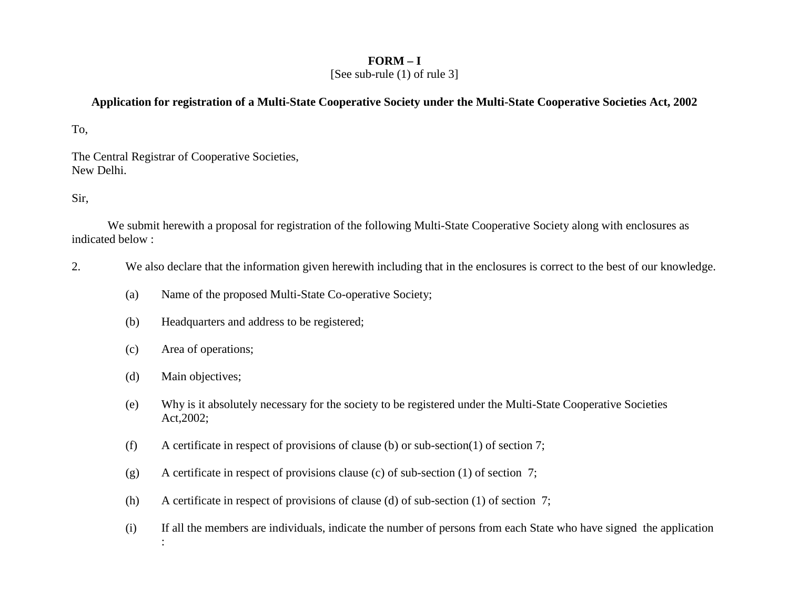# **FORM – I**

[See sub-rule (1) of rule 3]

# **Application for registration of a Multi-State Cooperative Society under the Multi-State Cooperative Societies Act, 2002**

To,

The Central Registrar of Cooperative Societies, New Delhi.

Sir,

 We submit herewith a proposal for registration of the following Multi-State Cooperative Society along with enclosures as indicated below :

- 2.We also declare that the information given herewith including that in the enclosures is correct to the best of our knowledge.
	- (a)Name of the proposed Multi-State Co-operative Society;
	- (b)Headquarters and address to be registered;
	- (c)Area of operations;
	- (d)Main objectives;
	- (e) Why is it absolutely necessary for the society to be registered under the Multi-State Cooperative Societies Act,2002;
	- (f)A certificate in respect of provisions of clause (b) or sub-section(1) of section 7;
	- (g)A certificate in respect of provisions clause (c) of sub-section (1) of section 7;
	- (h)A certificate in respect of provisions of clause (d) of sub-section (1) of section 7;
	- (i) If all the members are individuals, indicate the number of persons from each State who have signed the application :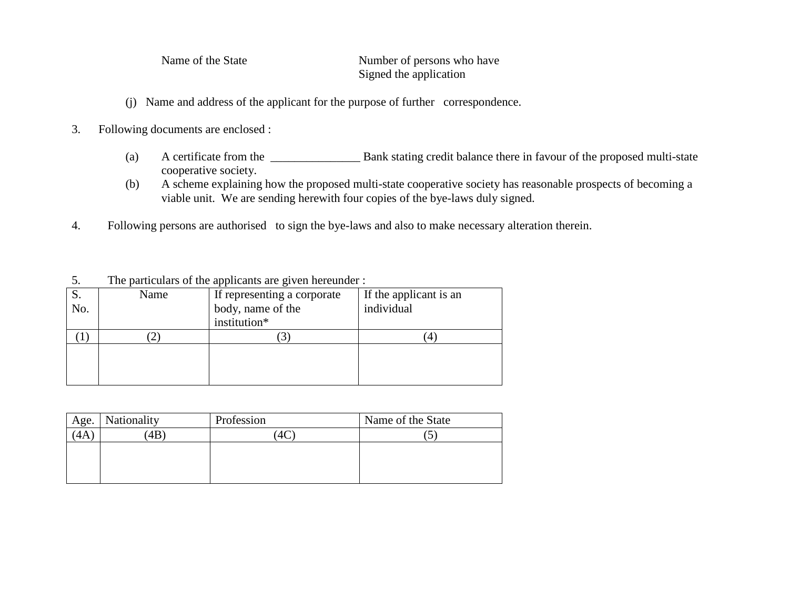5. The particulars of the applicants are given hereunder :

Name of the State Number of persons who have Signed the application

- (j) Name and address of the applicant for the purpose of further correspondence.
- 3. Following documents are enclosed :
	- (a)A certificate from the \_\_\_\_\_\_\_\_\_\_\_\_\_\_\_\_\_\_ Bank stating credit balance there in favour of the proposed multi-state cooperative society.
	- A scheme explaining how the proposed multi-state cooperative society has reasonable prospects of becoming a (b)viable unit. We are sending herewith four copies of the bye-laws duly signed.
- 4. Following persons are authorised to sign the bye-laws and also to make necessary alteration therein.

 If the applicant is an S. No. Name If representing a corporate body, name of the institution\* individual  $(1)$  (2) (3) (4)

| Age. | Nationality | Profession | Name of the State |
|------|-------------|------------|-------------------|
| 4A   | 4B          |            | ت                 |
|      |             |            |                   |
|      |             |            |                   |
|      |             |            |                   |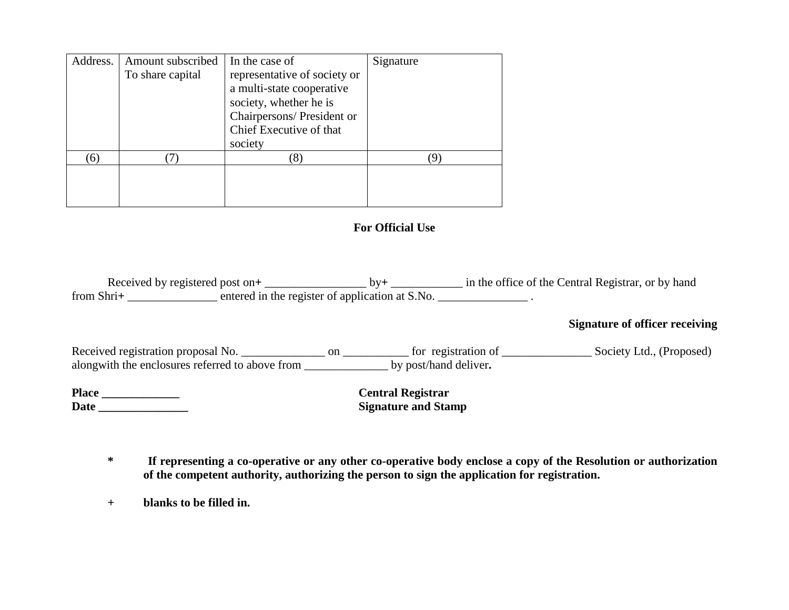| Address. | Amount subscribed<br>To share capital | In the case of<br>representative of society or<br>a multi-state cooperative<br>society, whether he is<br>Chairpersons/ President or<br>Chief Executive of that<br>society | Signature |
|----------|---------------------------------------|---------------------------------------------------------------------------------------------------------------------------------------------------------------------------|-----------|
| (6)      |                                       |                                                                                                                                                                           |           |

# **For Official Use**

Received by registered post on**<sup>+</sup>**\_\_\_\_\_\_\_\_\_\_\_\_\_\_\_\_\_ by**<sup>+</sup>** \_\_\_\_\_\_\_\_\_\_\_\_ in the office of the Central Registrar, or by hand from Shri<sup>+</sup> entered in the register of application at S.No.

# **Signature of officer receiving**

Received registration proposal No. \_\_\_\_\_\_\_\_\_\_\_\_\_\_\_ on \_\_\_\_\_\_\_\_\_\_\_\_ for registration of \_\_\_\_\_\_\_\_\_\_\_\_\_\_\_\_ Society Ltd., (Proposed) alongwith the enclosures referred to above from \_\_\_\_\_\_\_\_\_\_\_\_\_\_ by post/hand deliver**. Place \_\_\_\_\_\_\_\_\_\_\_\_\_ Central Registrar** 

Date \_\_\_\_\_\_\_\_\_\_\_\_\_

**Signature and Stamp** 

**\* If representing a co-operative or any other co-operative body enclose a copy of the Resolution or authorization of the competent authority, authorizing the person to sign the application for registration.** 

 **+ blanks to be filled in.**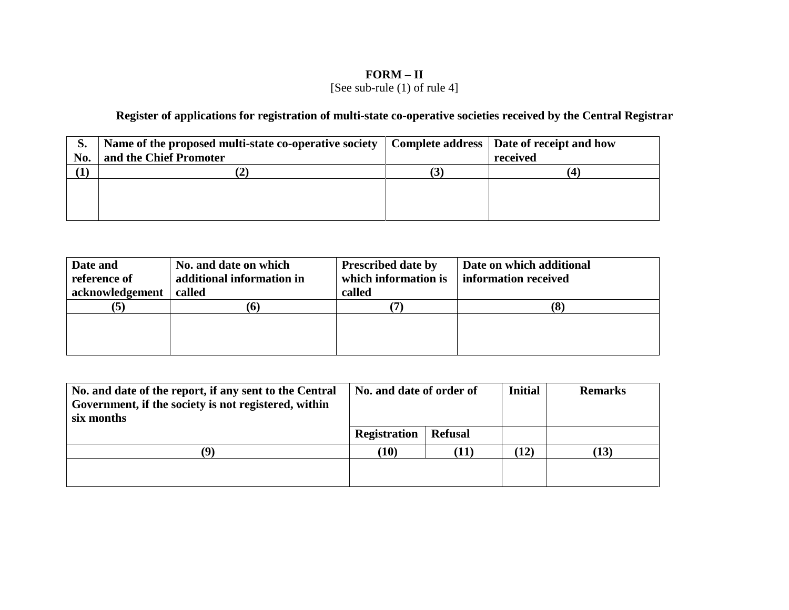# **FORM – II** [See sub-rule (1) of rule 4]

**Register of applications for registration of multi-state co-operative societies received by the Central Registrar** 

| S.  | Name of the proposed multi-state co-operative society   Complete address   Date of receipt and how |          |
|-----|----------------------------------------------------------------------------------------------------|----------|
| No. | and the Chief Promoter                                                                             | received |
|     |                                                                                                    |          |
|     |                                                                                                    |          |
|     |                                                                                                    |          |
|     |                                                                                                    |          |

| Date and<br>reference of<br>acknowledgement | No. and date on which<br>additional information in<br>called | <b>Prescribed date by</b><br>which information is<br>called | Date on which additional<br>information received |
|---------------------------------------------|--------------------------------------------------------------|-------------------------------------------------------------|--------------------------------------------------|
| (5)                                         |                                                              |                                                             | (8                                               |
|                                             |                                                              |                                                             |                                                  |
|                                             |                                                              |                                                             |                                                  |
|                                             |                                                              |                                                             |                                                  |

| No. and date of the report, if any sent to the Central<br>Government, if the society is not registered, within<br>six months | No. and date of order of |                | <b>Initial</b> | <b>Remarks</b> |
|------------------------------------------------------------------------------------------------------------------------------|--------------------------|----------------|----------------|----------------|
|                                                                                                                              | <b>Registration</b>      | <b>Refusal</b> |                |                |
|                                                                                                                              | (10)                     | T1)            | $\mathbf{12})$ | (13)           |
|                                                                                                                              |                          |                |                |                |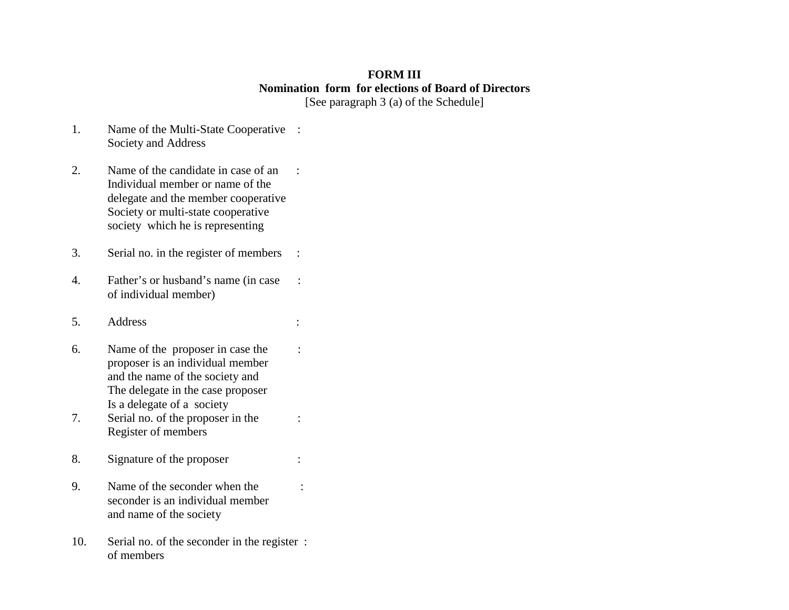# **FORM III Nomination form for elections of Board of Directors** [See paragraph 3 (a) of the Schedule]

1.Name of the Multi-State Cooperative : Society and Address

2.Name of the candidate in case of an : Individual member or name of the delegate and the member cooperative Society or multi-state cooperative society which he is representing

- 3. Serial no. in the register of members :
- 4. Father's or husband's name (in case : of individual member)
- 5. Address :
- 6. Name of the proposer in case the : proposer is an individual member and the name of the society and The delegate in the case proposer Is a delegate of a society
- 7. Serial no. of the proposer in the : Register of members
- 8. Signature of the proposer :
- 9. Name of the seconder when the : seconder is an individual member and name of the society
- 10. Serial no. of the seconder in the register : of members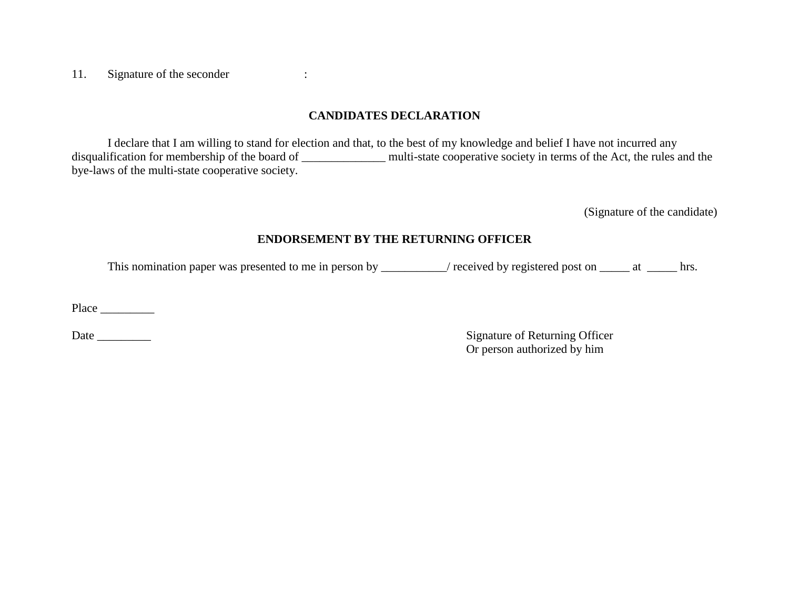11. Signature of the seconder :

# **CANDIDATES DECLARATION**

 I declare that I am willing to stand for election and that, to the best of my knowledge and belief I have not incurred any disqualification for membership of the board of \_\_\_\_\_\_\_\_\_\_\_\_\_\_ multi-state cooperative society in terms of the Act, the rules and the bye-laws of the multi-state cooperative society.

(Signature of the candidate)

# **ENDORSEMENT BY THE RETURNING OFFICER**

This nomination paper was presented to me in person by \_\_\_\_\_\_\_\_\_/ received by registered post on \_\_\_\_\_ at \_\_\_\_\_ hrs.

Place \_\_\_\_\_\_\_\_\_

Date \_\_\_\_\_\_\_\_\_ Signature of Returning Officer Or person authorized by him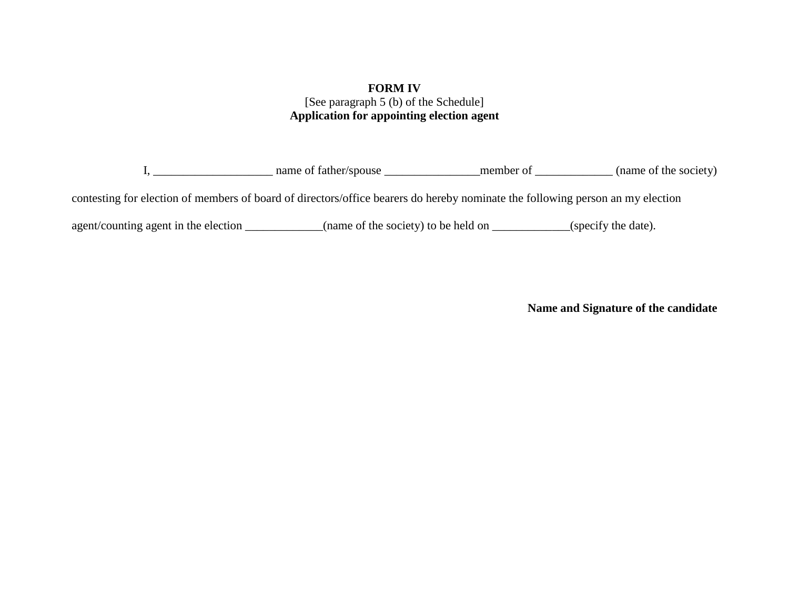# **FORM IV** [See paragraph 5 (b) of the Schedule] **Application for appointing election agent**

I, \_\_\_\_\_\_\_\_\_\_\_\_\_\_\_\_\_\_\_\_ name of father/spouse \_\_\_\_\_\_\_\_\_\_\_\_\_\_\_\_member of \_\_\_\_\_\_\_\_\_\_\_\_\_ (name of the society)

contesting for election of members of board of directors/office bearers do hereby nominate the following person an my election

agent/counting agent in the election \_\_\_\_\_\_\_\_\_\_\_(name of the society) to be held on \_\_\_\_\_\_\_\_\_\_(specify the date).

**Name and Signature of the candidate**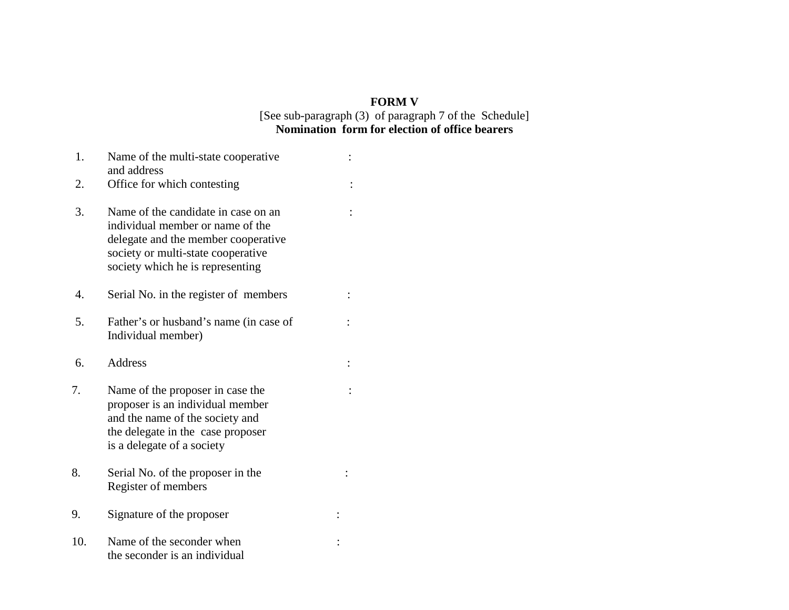# **FORM V**

# [See sub-paragraph (3) of paragraph 7 of the Schedule] **Nomination form for election of office bearers**

| 1.  | Name of the multi-state cooperative<br>and address                                                                                                                                       |  |
|-----|------------------------------------------------------------------------------------------------------------------------------------------------------------------------------------------|--|
| 2.  | Office for which contesting                                                                                                                                                              |  |
| 3.  | Name of the candidate in case on an<br>individual member or name of the<br>delegate and the member cooperative<br>society or multi-state cooperative<br>society which he is representing |  |
| 4.  | Serial No. in the register of members                                                                                                                                                    |  |
| 5.  | Father's or husband's name (in case of<br>Individual member)                                                                                                                             |  |
| 6.  | <b>Address</b>                                                                                                                                                                           |  |
| 7.  | Name of the proposer in case the<br>proposer is an individual member<br>and the name of the society and<br>the delegate in the case proposer<br>is a delegate of a society               |  |
| 8.  | Serial No. of the proposer in the<br>Register of members                                                                                                                                 |  |
| 9.  | Signature of the proposer                                                                                                                                                                |  |
| 10. | Name of the seconder when<br>the seconder is an individual                                                                                                                               |  |